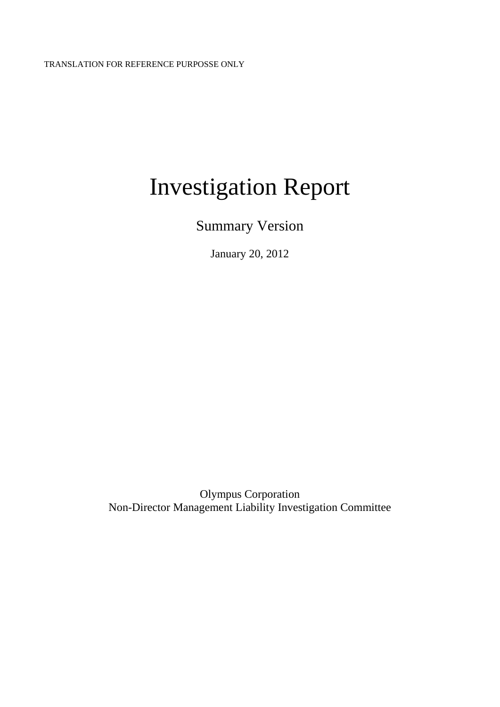# Investigation Report

Summary Version

January 20, 2012

Olympus Corporation Non-Director Management Liability Investigation Committee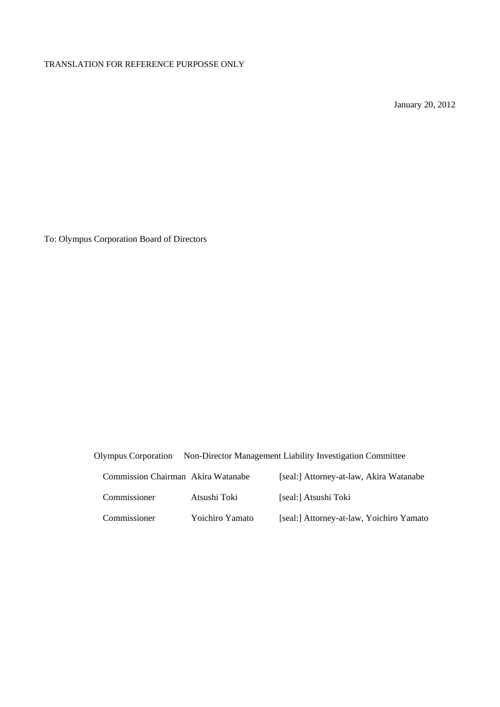January 20, 2012

To: Olympus Corporation Board of Directors

Olympus Corporation Non-Director Management Liability Investigation Committee

| Commission Chairman Akira Watanabe |                 | [seal:] Attorney-at-law, Akira Watanabe  |
|------------------------------------|-----------------|------------------------------------------|
| Commissioner                       | Atsushi Toki    | [seal:] Atsushi Toki                     |
| Commissioner                       | Yoichiro Yamato | [seal:] Attorney-at-law, Yoichiro Yamato |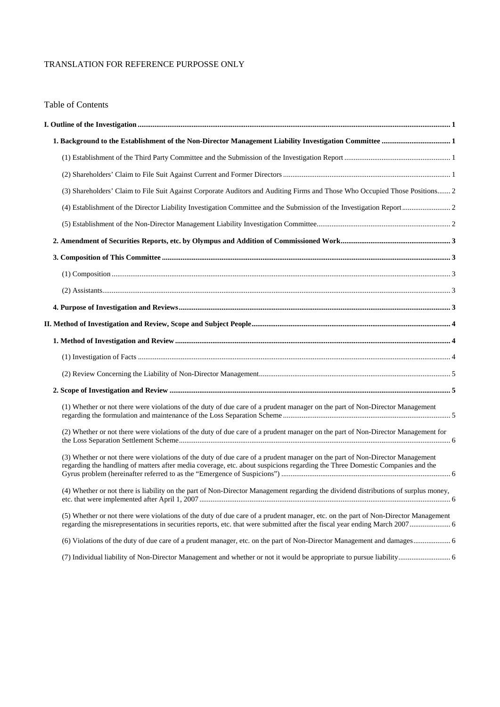# Table of Contents

| (3) Shareholders' Claim to File Suit Against Corporate Auditors and Auditing Firms and Those Who Occupied Those Positions 2                                                                                                                                  |  |
|--------------------------------------------------------------------------------------------------------------------------------------------------------------------------------------------------------------------------------------------------------------|--|
|                                                                                                                                                                                                                                                              |  |
|                                                                                                                                                                                                                                                              |  |
|                                                                                                                                                                                                                                                              |  |
|                                                                                                                                                                                                                                                              |  |
|                                                                                                                                                                                                                                                              |  |
|                                                                                                                                                                                                                                                              |  |
|                                                                                                                                                                                                                                                              |  |
|                                                                                                                                                                                                                                                              |  |
|                                                                                                                                                                                                                                                              |  |
|                                                                                                                                                                                                                                                              |  |
|                                                                                                                                                                                                                                                              |  |
|                                                                                                                                                                                                                                                              |  |
| (1) Whether or not there were violations of the duty of due care of a prudent manager on the part of Non-Director Management                                                                                                                                 |  |
| (2) Whether or not there were violations of the duty of due care of a prudent manager on the part of Non-Director Management for                                                                                                                             |  |
| (3) Whether or not there were violations of the duty of due care of a prudent manager on the part of Non-Director Management<br>regarding the handling of matters after media coverage, etc. about suspicions regarding the Three Domestic Companies and the |  |
| (4) Whether or not there is liability on the part of Non-Director Management regarding the dividend distributions of surplus money,                                                                                                                          |  |
| (5) Whether or not there were violations of the duty of due care of a prudent manager, etc. on the part of Non-Director Management                                                                                                                           |  |
|                                                                                                                                                                                                                                                              |  |
|                                                                                                                                                                                                                                                              |  |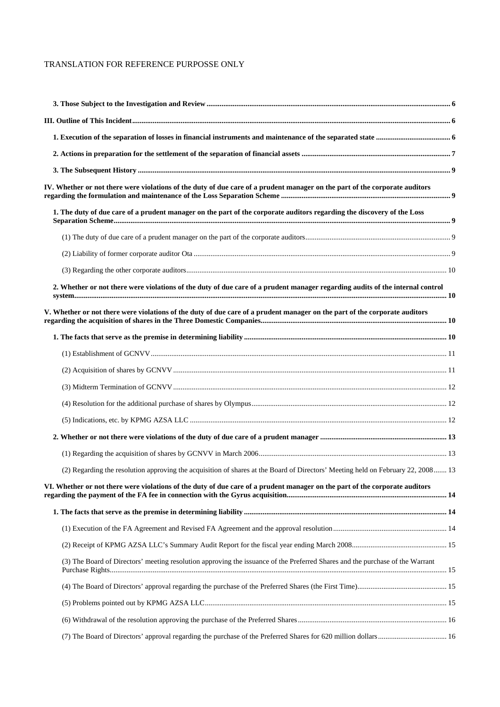| IV. Whether or not there were violations of the duty of due care of a prudent manager on the part of the corporate auditors      |  |
|----------------------------------------------------------------------------------------------------------------------------------|--|
| 1. The duty of due care of a prudent manager on the part of the corporate auditors regarding the discovery of the Loss           |  |
|                                                                                                                                  |  |
|                                                                                                                                  |  |
|                                                                                                                                  |  |
| 2. Whether or not there were violations of the duty of due care of a prudent manager regarding audits of the internal control    |  |
| V. Whether or not there were violations of the duty of due care of a prudent manager on the part of the corporate auditors       |  |
|                                                                                                                                  |  |
|                                                                                                                                  |  |
|                                                                                                                                  |  |
|                                                                                                                                  |  |
|                                                                                                                                  |  |
|                                                                                                                                  |  |
|                                                                                                                                  |  |
|                                                                                                                                  |  |
| (2) Regarding the resolution approving the acquisition of shares at the Board of Directors' Meeting held on February 22, 2008 13 |  |
| VI. Whether or not there were violations of the duty of due care of a prudent manager on the part of the corporate auditors      |  |
|                                                                                                                                  |  |
|                                                                                                                                  |  |
|                                                                                                                                  |  |
| (3) The Board of Directors' meeting resolution approving the issuance of the Preferred Shares and the purchase of the Warrant    |  |
|                                                                                                                                  |  |
|                                                                                                                                  |  |
|                                                                                                                                  |  |
|                                                                                                                                  |  |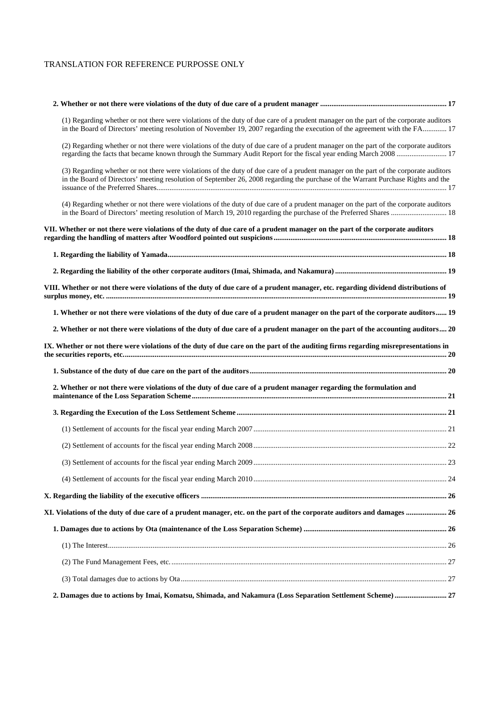| (1) Regarding whether or not there were violations of the duty of due care of a prudent manager on the part of the corporate auditors<br>in the Board of Directors' meeting resolution of November 19, 2007 regarding the execution of the agreement with the FA 17        |  |
|----------------------------------------------------------------------------------------------------------------------------------------------------------------------------------------------------------------------------------------------------------------------------|--|
| (2) Regarding whether or not there were violations of the duty of due care of a prudent manager on the part of the corporate auditors<br>regarding the facts that became known through the Summary Audit Report for the fiscal year ending March 2008  17                  |  |
| (3) Regarding whether or not there were violations of the duty of due care of a prudent manager on the part of the corporate auditors<br>in the Board of Directors' meeting resolution of September 26, 2008 regarding the purchase of the Warrant Purchase Rights and the |  |
| (4) Regarding whether or not there were violations of the duty of due care of a prudent manager on the part of the corporate auditors                                                                                                                                      |  |
| VII. Whether or not there were violations of the duty of due care of a prudent manager on the part of the corporate auditors                                                                                                                                               |  |
|                                                                                                                                                                                                                                                                            |  |
|                                                                                                                                                                                                                                                                            |  |
| VIII. Whether or not there were violations of the duty of due care of a prudent manager, etc. regarding dividend distributions of                                                                                                                                          |  |
| 1. Whether or not there were violations of the duty of due care of a prudent manager on the part of the corporate auditors 19                                                                                                                                              |  |
| 2. Whether or not there were violations of the duty of due care of a prudent manager on the part of the accounting auditors 20                                                                                                                                             |  |
| IX. Whether or not there were violations of the duty of due care on the part of the auditing firms regarding misrepresentations in                                                                                                                                         |  |
|                                                                                                                                                                                                                                                                            |  |
| 2. Whether or not there were violations of the duty of due care of a prudent manager regarding the formulation and                                                                                                                                                         |  |
|                                                                                                                                                                                                                                                                            |  |
|                                                                                                                                                                                                                                                                            |  |
|                                                                                                                                                                                                                                                                            |  |
|                                                                                                                                                                                                                                                                            |  |
|                                                                                                                                                                                                                                                                            |  |
|                                                                                                                                                                                                                                                                            |  |
| 26. W. Violations of the duty of due care of a prudent manager, etc. on the part of the corporate auditors and damages  26                                                                                                                                                 |  |
|                                                                                                                                                                                                                                                                            |  |
|                                                                                                                                                                                                                                                                            |  |
|                                                                                                                                                                                                                                                                            |  |
|                                                                                                                                                                                                                                                                            |  |
| 2. Damages due to actions by Imai, Komatsu, Shimada, and Nakamura (Loss Separation Settlement Scheme)  27                                                                                                                                                                  |  |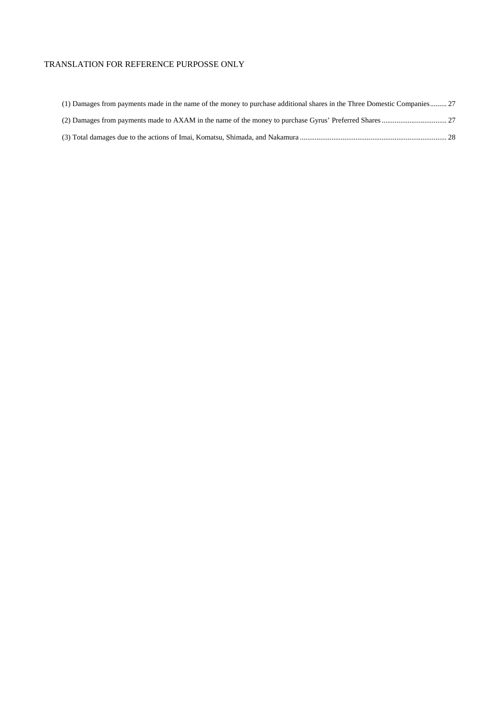| (1) Damages from payments made in the name of the money to purchase additional shares in the Three Domestic Companies 27 |
|--------------------------------------------------------------------------------------------------------------------------|
|                                                                                                                          |
|                                                                                                                          |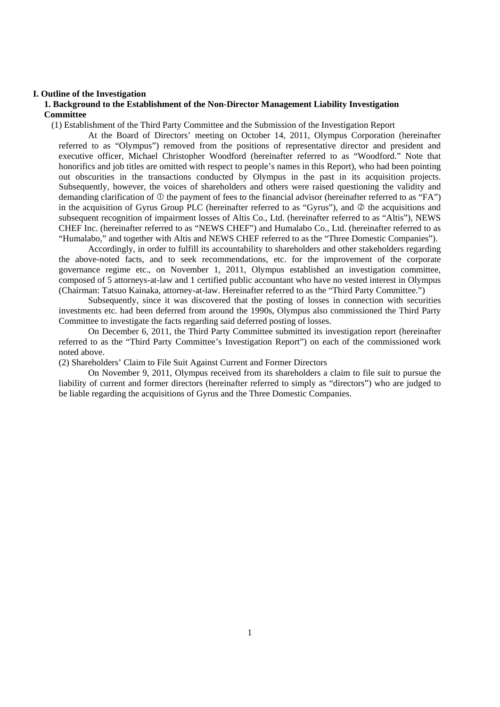#### **I. Outline of the Investigation**

# **1. Background to the Establishment of the Non-Director Management Liability Investigation Committee**

(1) Establishment of the Third Party Committee and the Submission of the Investigation Report

At the Board of Directors' meeting on October 14, 2011, Olympus Corporation (hereinafter referred to as "Olympus") removed from the positions of representative director and president and executive officer, Michael Christopher Woodford (hereinafter referred to as "Woodford." Note that honorifics and job titles are omitted with respect to people's names in this Report), who had been pointing out obscurities in the transactions conducted by Olympus in the past in its acquisition projects. Subsequently, however, the voices of shareholders and others were raised questioning the validity and demanding clarification of  $\mathbb O$  the payment of fees to the financial advisor (hereinafter referred to as "FA") in the acquisition of Gyrus Group PLC (hereinafter referred to as "Gyrus"), and  $\oslash$  the acquisitions and subsequent recognition of impairment losses of Altis Co., Ltd. (hereinafter referred to as "Altis"), NEWS CHEF Inc. (hereinafter referred to as "NEWS CHEF") and Humalabo Co., Ltd. (hereinafter referred to as "Humalabo," and together with Altis and NEWS CHEF referred to as the "Three Domestic Companies").

Accordingly, in order to fulfill its accountability to shareholders and other stakeholders regarding the above-noted facts, and to seek recommendations, etc. for the improvement of the corporate governance regime etc., on November 1, 2011, Olympus established an investigation committee, composed of 5 attorneys-at-law and 1 certified public accountant who have no vested interest in Olympus (Chairman: Tatsuo Kainaka, attorney-at-law. Hereinafter referred to as the "Third Party Committee.")

Subsequently, since it was discovered that the posting of losses in connection with securities investments etc. had been deferred from around the 1990s, Olympus also commissioned the Third Party Committee to investigate the facts regarding said deferred posting of losses.

On December 6, 2011, the Third Party Committee submitted its investigation report (hereinafter referred to as the "Third Party Committee's Investigation Report") on each of the commissioned work noted above.

(2) Shareholders' Claim to File Suit Against Current and Former Directors

On November 9, 2011, Olympus received from its shareholders a claim to file suit to pursue the liability of current and former directors (hereinafter referred to simply as "directors") who are judged to be liable regarding the acquisitions of Gyrus and the Three Domestic Companies.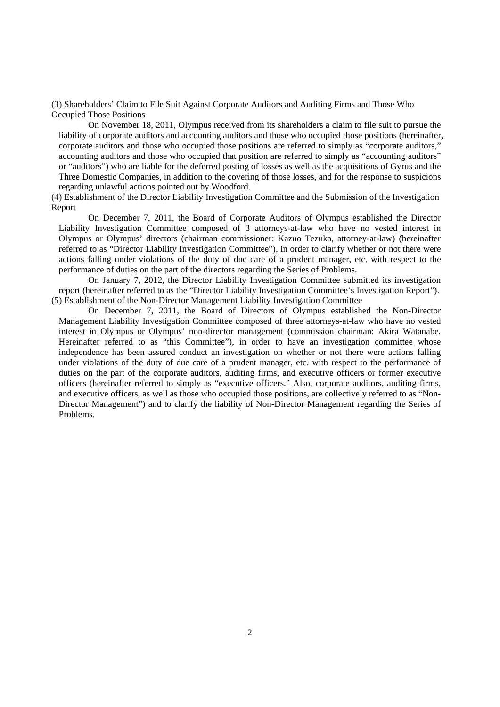(3) Shareholders' Claim to File Suit Against Corporate Auditors and Auditing Firms and Those Who Occupied Those Positions

On November 18, 2011, Olympus received from its shareholders a claim to file suit to pursue the liability of corporate auditors and accounting auditors and those who occupied those positions (hereinafter, corporate auditors and those who occupied those positions are referred to simply as "corporate auditors," accounting auditors and those who occupied that position are referred to simply as "accounting auditors" or "auditors") who are liable for the deferred posting of losses as well as the acquisitions of Gyrus and the Three Domestic Companies, in addition to the covering of those losses, and for the response to suspicions regarding unlawful actions pointed out by Woodford.

(4) Establishment of the Director Liability Investigation Committee and the Submission of the Investigation Report

On December 7, 2011, the Board of Corporate Auditors of Olympus established the Director Liability Investigation Committee composed of 3 attorneys-at-law who have no vested interest in Olympus or Olympus' directors (chairman commissioner: Kazuo Tezuka, attorney-at-law) (hereinafter referred to as "Director Liability Investigation Committee"), in order to clarify whether or not there were actions falling under violations of the duty of due care of a prudent manager, etc. with respect to the performance of duties on the part of the directors regarding the Series of Problems.

On January 7, 2012, the Director Liability Investigation Committee submitted its investigation report (hereinafter referred to as the "Director Liability Investigation Committee's Investigation Report"). (5) Establishment of the Non-Director Management Liability Investigation Committee

On December 7, 2011, the Board of Directors of Olympus established the Non-Director Management Liability Investigation Committee composed of three attorneys-at-law who have no vested interest in Olympus or Olympus' non-director management (commission chairman: Akira Watanabe. Hereinafter referred to as "this Committee"), in order to have an investigation committee whose independence has been assured conduct an investigation on whether or not there were actions falling under violations of the duty of due care of a prudent manager, etc. with respect to the performance of duties on the part of the corporate auditors, auditing firms, and executive officers or former executive officers (hereinafter referred to simply as "executive officers." Also, corporate auditors, auditing firms, and executive officers, as well as those who occupied those positions, are collectively referred to as "Non-Director Management") and to clarify the liability of Non-Director Management regarding the Series of Problems.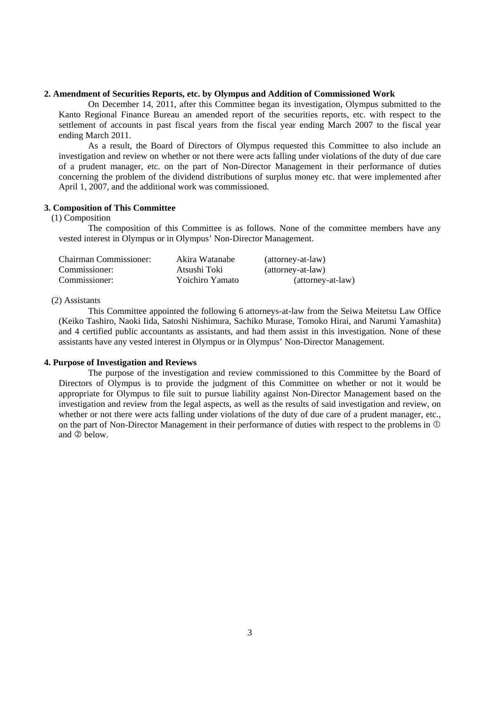# **2. Amendment of Securities Reports, etc. by Olympus and Addition of Commissioned Work**

On December 14, 2011, after this Committee began its investigation, Olympus submitted to the Kanto Regional Finance Bureau an amended report of the securities reports, etc. with respect to the settlement of accounts in past fiscal years from the fiscal year ending March 2007 to the fiscal year ending March 2011.

As a result, the Board of Directors of Olympus requested this Committee to also include an investigation and review on whether or not there were acts falling under violations of the duty of due care of a prudent manager, etc. on the part of Non-Director Management in their performance of duties concerning the problem of the dividend distributions of surplus money etc. that were implemented after April 1, 2007, and the additional work was commissioned.

# **3. Composition of This Committee**

## (1) Composition

The composition of this Committee is as follows. None of the committee members have any vested interest in Olympus or in Olympus' Non-Director Management.

| Chairman Commissioner: | Akira Watanabe  | (attorney-at-law) |
|------------------------|-----------------|-------------------|
| Commissioner:          | Atsushi Toki    | (attorney-at-law) |
| Commissioner:          | Yoichiro Yamato | (attorney-at-law) |

## (2) Assistants

This Committee appointed the following 6 attorneys-at-law from the Seiwa Meitetsu Law Office (Keiko Tashiro, Naoki Iida, Satoshi Nishimura, Sachiko Murase, Tomoko Hirai, and Narumi Yamashita) and 4 certified public accountants as assistants, and had them assist in this investigation. None of these assistants have any vested interest in Olympus or in Olympus' Non-Director Management.

#### **4. Purpose of Investigation and Reviews**

The purpose of the investigation and review commissioned to this Committee by the Board of Directors of Olympus is to provide the judgment of this Committee on whether or not it would be appropriate for Olympus to file suit to pursue liability against Non-Director Management based on the investigation and review from the legal aspects, as well as the results of said investigation and review, on whether or not there were acts falling under violations of the duty of due care of a prudent manager, etc., on the part of Non-Director Management in their performance of duties with respect to the problems in  $\mathbb O$ and  $\Omega$  below.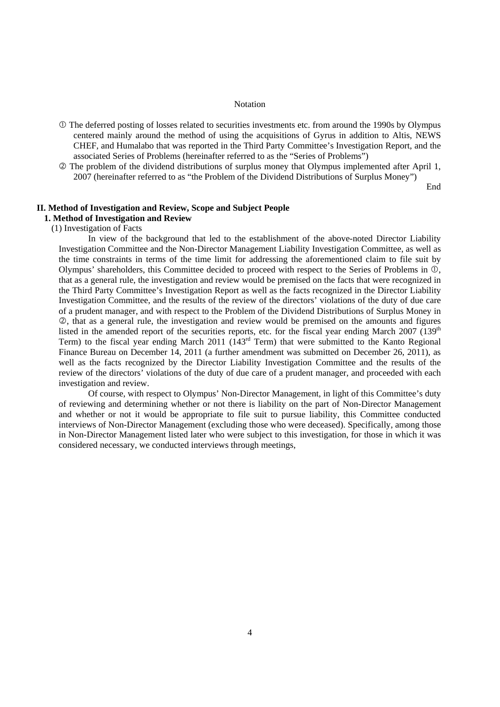#### **Notation**

- The deferred posting of losses related to securities investments etc. from around the 1990s by Olympus centered mainly around the method of using the acquisitions of Gyrus in addition to Altis, NEWS CHEF, and Humalabo that was reported in the Third Party Committee's Investigation Report, and the associated Series of Problems (hereinafter referred to as the "Series of Problems")
- The problem of the dividend distributions of surplus money that Olympus implemented after April 1, 2007 (hereinafter referred to as "the Problem of the Dividend Distributions of Surplus Money")

End

# **II. Method of Investigation and Review, Scope and Subject People**

# **1. Method of Investigation and Review**

(1) Investigation of Facts

In view of the background that led to the establishment of the above-noted Director Liability Investigation Committee and the Non-Director Management Liability Investigation Committee, as well as the time constraints in terms of the time limit for addressing the aforementioned claim to file suit by Olympus' shareholders, this Committee decided to proceed with respect to the Series of Problems in  $\mathbb{O}$ , that as a general rule, the investigation and review would be premised on the facts that were recognized in the Third Party Committee's Investigation Report as well as the facts recognized in the Director Liability Investigation Committee, and the results of the review of the directors' violations of the duty of due care of a prudent manager, and with respect to the Problem of the Dividend Distributions of Surplus Money in , that as a general rule, the investigation and review would be premised on the amounts and figures listed in the amended report of the securities reports, etc. for the fiscal year ending March 2007 (139<sup>th</sup>) Term) to the fiscal year ending March 2011 (143rd Term) that were submitted to the Kanto Regional Finance Bureau on December 14, 2011 (a further amendment was submitted on December 26, 2011), as well as the facts recognized by the Director Liability Investigation Committee and the results of the review of the directors' violations of the duty of due care of a prudent manager, and proceeded with each investigation and review.

Of course, with respect to Olympus' Non-Director Management, in light of this Committee's duty of reviewing and determining whether or not there is liability on the part of Non-Director Management and whether or not it would be appropriate to file suit to pursue liability, this Committee conducted interviews of Non-Director Management (excluding those who were deceased). Specifically, among those in Non-Director Management listed later who were subject to this investigation, for those in which it was considered necessary, we conducted interviews through meetings,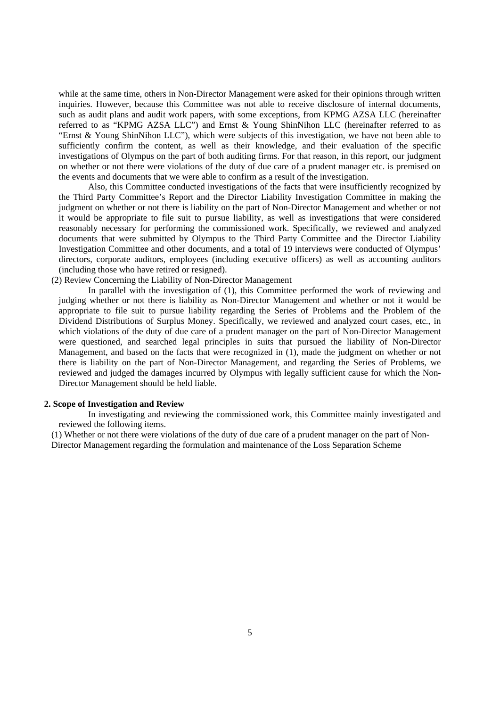while at the same time, others in Non-Director Management were asked for their opinions through written inquiries. However, because this Committee was not able to receive disclosure of internal documents, such as audit plans and audit work papers, with some exceptions, from KPMG AZSA LLC (hereinafter referred to as "KPMG AZSA LLC") and Ernst & Young ShinNihon LLC (hereinafter referred to as "Ernst & Young ShinNihon LLC"), which were subjects of this investigation, we have not been able to sufficiently confirm the content, as well as their knowledge, and their evaluation of the specific investigations of Olympus on the part of both auditing firms. For that reason, in this report, our judgment on whether or not there were violations of the duty of due care of a prudent manager etc. is premised on the events and documents that we were able to confirm as a result of the investigation.

Also, this Committee conducted investigations of the facts that were insufficiently recognized by the Third Party Committee's Report and the Director Liability Investigation Committee in making the judgment on whether or not there is liability on the part of Non-Director Management and whether or not it would be appropriate to file suit to pursue liability, as well as investigations that were considered reasonably necessary for performing the commissioned work. Specifically, we reviewed and analyzed documents that were submitted by Olympus to the Third Party Committee and the Director Liability Investigation Committee and other documents, and a total of 19 interviews were conducted of Olympus' directors, corporate auditors, employees (including executive officers) as well as accounting auditors (including those who have retired or resigned).

(2) Review Concerning the Liability of Non-Director Management

In parallel with the investigation of (1), this Committee performed the work of reviewing and judging whether or not there is liability as Non-Director Management and whether or not it would be appropriate to file suit to pursue liability regarding the Series of Problems and the Problem of the Dividend Distributions of Surplus Money. Specifically, we reviewed and analyzed court cases, etc., in which violations of the duty of due care of a prudent manager on the part of Non-Director Management were questioned, and searched legal principles in suits that pursued the liability of Non-Director Management, and based on the facts that were recognized in (1), made the judgment on whether or not there is liability on the part of Non-Director Management, and regarding the Series of Problems, we reviewed and judged the damages incurred by Olympus with legally sufficient cause for which the Non-Director Management should be held liable.

## **2. Scope of Investigation and Review**

In investigating and reviewing the commissioned work, this Committee mainly investigated and reviewed the following items.

(1) Whether or not there were violations of the duty of due care of a prudent manager on the part of Non-Director Management regarding the formulation and maintenance of the Loss Separation Scheme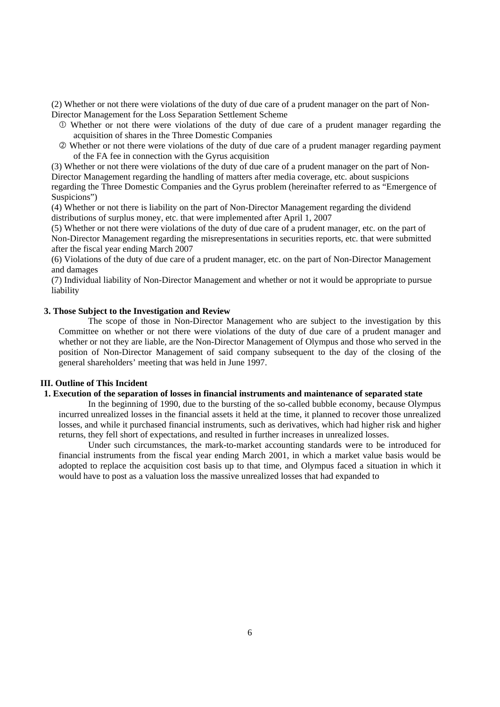(2) Whether or not there were violations of the duty of due care of a prudent manager on the part of Non-Director Management for the Loss Separation Settlement Scheme

- Whether or not there were violations of the duty of due care of a prudent manager regarding the acquisition of shares in the Three Domestic Companies
- Whether or not there were violations of the duty of due care of a prudent manager regarding payment of the FA fee in connection with the Gyrus acquisition

(3) Whether or not there were violations of the duty of due care of a prudent manager on the part of Non-Director Management regarding the handling of matters after media coverage, etc. about suspicions regarding the Three Domestic Companies and the Gyrus problem (hereinafter referred to as "Emergence of Suspicions")

(4) Whether or not there is liability on the part of Non-Director Management regarding the dividend distributions of surplus money, etc. that were implemented after April 1, 2007

(5) Whether or not there were violations of the duty of due care of a prudent manager, etc. on the part of Non-Director Management regarding the misrepresentations in securities reports, etc. that were submitted after the fiscal year ending March 2007

(6) Violations of the duty of due care of a prudent manager, etc. on the part of Non-Director Management and damages

(7) Individual liability of Non-Director Management and whether or not it would be appropriate to pursue liability

## **3. Those Subject to the Investigation and Review**

The scope of those in Non-Director Management who are subject to the investigation by this Committee on whether or not there were violations of the duty of due care of a prudent manager and whether or not they are liable, are the Non-Director Management of Olympus and those who served in the position of Non-Director Management of said company subsequent to the day of the closing of the general shareholders' meeting that was held in June 1997.

## **III. Outline of This Incident**

#### **1. Execution of the separation of losses in financial instruments and maintenance of separated state**

In the beginning of 1990, due to the bursting of the so-called bubble economy, because Olympus incurred unrealized losses in the financial assets it held at the time, it planned to recover those unrealized losses, and while it purchased financial instruments, such as derivatives, which had higher risk and higher returns, they fell short of expectations, and resulted in further increases in unrealized losses.

Under such circumstances, the mark-to-market accounting standards were to be introduced for financial instruments from the fiscal year ending March 2001, in which a market value basis would be adopted to replace the acquisition cost basis up to that time, and Olympus faced a situation in which it would have to post as a valuation loss the massive unrealized losses that had expanded to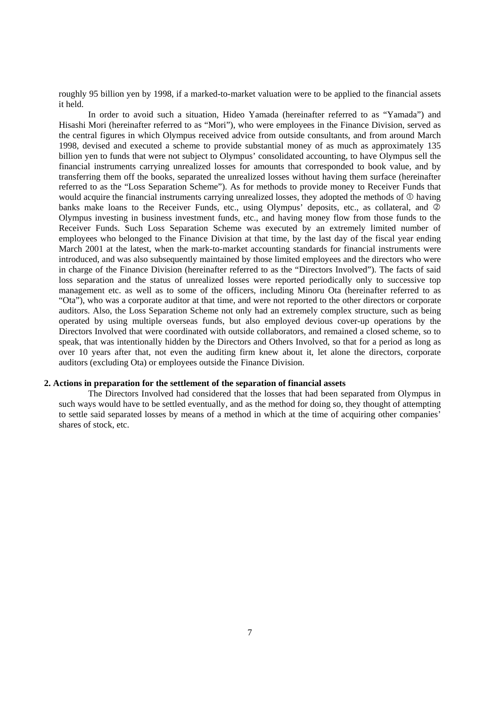roughly 95 billion yen by 1998, if a marked-to-market valuation were to be applied to the financial assets it held.

In order to avoid such a situation, Hideo Yamada (hereinafter referred to as "Yamada") and Hisashi Mori (hereinafter referred to as "Mori"), who were employees in the Finance Division, served as the central figures in which Olympus received advice from outside consultants, and from around March 1998, devised and executed a scheme to provide substantial money of as much as approximately 135 billion yen to funds that were not subject to Olympus' consolidated accounting, to have Olympus sell the financial instruments carrying unrealized losses for amounts that corresponded to book value, and by transferring them off the books, separated the unrealized losses without having them surface (hereinafter referred to as the "Loss Separation Scheme"). As for methods to provide money to Receiver Funds that would acquire the financial instruments carrying unrealized losses, they adopted the methods of  $\Phi$  having banks make loans to the Receiver Funds, etc., using Olympus' deposits, etc., as collateral, and 2 Olympus investing in business investment funds, etc., and having money flow from those funds to the Receiver Funds. Such Loss Separation Scheme was executed by an extremely limited number of employees who belonged to the Finance Division at that time, by the last day of the fiscal year ending March 2001 at the latest, when the mark-to-market accounting standards for financial instruments were introduced, and was also subsequently maintained by those limited employees and the directors who were in charge of the Finance Division (hereinafter referred to as the "Directors Involved"). The facts of said loss separation and the status of unrealized losses were reported periodically only to successive top management etc. as well as to some of the officers, including Minoru Ota (hereinafter referred to as "Ota"), who was a corporate auditor at that time, and were not reported to the other directors or corporate auditors. Also, the Loss Separation Scheme not only had an extremely complex structure, such as being operated by using multiple overseas funds, but also employed devious cover-up operations by the Directors Involved that were coordinated with outside collaborators, and remained a closed scheme, so to speak, that was intentionally hidden by the Directors and Others Involved, so that for a period as long as over 10 years after that, not even the auditing firm knew about it, let alone the directors, corporate auditors (excluding Ota) or employees outside the Finance Division.

## **2. Actions in preparation for the settlement of the separation of financial assets**

The Directors Involved had considered that the losses that had been separated from Olympus in such ways would have to be settled eventually, and as the method for doing so, they thought of attempting to settle said separated losses by means of a method in which at the time of acquiring other companies' shares of stock, etc.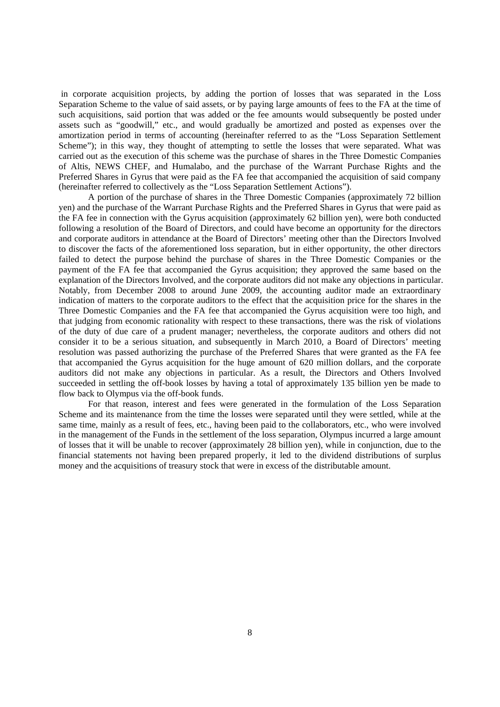in corporate acquisition projects, by adding the portion of losses that was separated in the Loss Separation Scheme to the value of said assets, or by paying large amounts of fees to the FA at the time of such acquisitions, said portion that was added or the fee amounts would subsequently be posted under assets such as "goodwill," etc., and would gradually be amortized and posted as expenses over the amortization period in terms of accounting (hereinafter referred to as the "Loss Separation Settlement Scheme"); in this way, they thought of attempting to settle the losses that were separated. What was carried out as the execution of this scheme was the purchase of shares in the Three Domestic Companies of Altis, NEWS CHEF, and Humalabo, and the purchase of the Warrant Purchase Rights and the Preferred Shares in Gyrus that were paid as the FA fee that accompanied the acquisition of said company (hereinafter referred to collectively as the "Loss Separation Settlement Actions").

A portion of the purchase of shares in the Three Domestic Companies (approximately 72 billion yen) and the purchase of the Warrant Purchase Rights and the Preferred Shares in Gyrus that were paid as the FA fee in connection with the Gyrus acquisition (approximately 62 billion yen), were both conducted following a resolution of the Board of Directors, and could have become an opportunity for the directors and corporate auditors in attendance at the Board of Directors' meeting other than the Directors Involved to discover the facts of the aforementioned loss separation, but in either opportunity, the other directors failed to detect the purpose behind the purchase of shares in the Three Domestic Companies or the payment of the FA fee that accompanied the Gyrus acquisition; they approved the same based on the explanation of the Directors Involved, and the corporate auditors did not make any objections in particular. Notably, from December 2008 to around June 2009, the accounting auditor made an extraordinary indication of matters to the corporate auditors to the effect that the acquisition price for the shares in the Three Domestic Companies and the FA fee that accompanied the Gyrus acquisition were too high, and that judging from economic rationality with respect to these transactions, there was the risk of violations of the duty of due care of a prudent manager; nevertheless, the corporate auditors and others did not consider it to be a serious situation, and subsequently in March 2010, a Board of Directors' meeting resolution was passed authorizing the purchase of the Preferred Shares that were granted as the FA fee that accompanied the Gyrus acquisition for the huge amount of 620 million dollars, and the corporate auditors did not make any objections in particular. As a result, the Directors and Others Involved succeeded in settling the off-book losses by having a total of approximately 135 billion yen be made to flow back to Olympus via the off-book funds.

For that reason, interest and fees were generated in the formulation of the Loss Separation Scheme and its maintenance from the time the losses were separated until they were settled, while at the same time, mainly as a result of fees, etc., having been paid to the collaborators, etc., who were involved in the management of the Funds in the settlement of the loss separation, Olympus incurred a large amount of losses that it will be unable to recover (approximately 28 billion yen), while in conjunction, due to the financial statements not having been prepared properly, it led to the dividend distributions of surplus money and the acquisitions of treasury stock that were in excess of the distributable amount.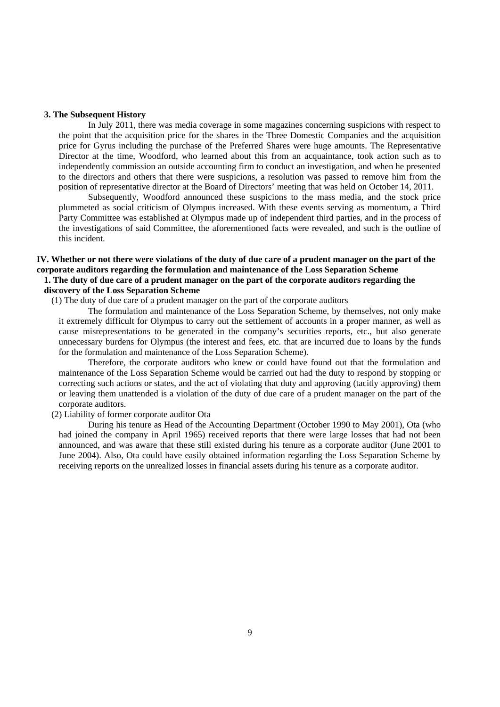## **3. The Subsequent History**

In July 2011, there was media coverage in some magazines concerning suspicions with respect to the point that the acquisition price for the shares in the Three Domestic Companies and the acquisition price for Gyrus including the purchase of the Preferred Shares were huge amounts. The Representative Director at the time, Woodford, who learned about this from an acquaintance, took action such as to independently commission an outside accounting firm to conduct an investigation, and when he presented to the directors and others that there were suspicions, a resolution was passed to remove him from the position of representative director at the Board of Directors' meeting that was held on October 14, 2011.

Subsequently, Woodford announced these suspicions to the mass media, and the stock price plummeted as social criticism of Olympus increased. With these events serving as momentum, a Third Party Committee was established at Olympus made up of independent third parties, and in the process of the investigations of said Committee, the aforementioned facts were revealed, and such is the outline of this incident.

## **IV. Whether or not there were violations of the duty of due care of a prudent manager on the part of the corporate auditors regarding the formulation and maintenance of the Loss Separation Scheme 1. The duty of due care of a prudent manager on the part of the corporate auditors regarding the discovery of the Loss Separation Scheme**

(1) The duty of due care of a prudent manager on the part of the corporate auditors

The formulation and maintenance of the Loss Separation Scheme, by themselves, not only make it extremely difficult for Olympus to carry out the settlement of accounts in a proper manner, as well as cause misrepresentations to be generated in the company's securities reports, etc., but also generate unnecessary burdens for Olympus (the interest and fees, etc. that are incurred due to loans by the funds for the formulation and maintenance of the Loss Separation Scheme).

Therefore, the corporate auditors who knew or could have found out that the formulation and maintenance of the Loss Separation Scheme would be carried out had the duty to respond by stopping or correcting such actions or states, and the act of violating that duty and approving (tacitly approving) them or leaving them unattended is a violation of the duty of due care of a prudent manager on the part of the corporate auditors.

# (2) Liability of former corporate auditor Ota

During his tenure as Head of the Accounting Department (October 1990 to May 2001), Ota (who had joined the company in April 1965) received reports that there were large losses that had not been announced, and was aware that these still existed during his tenure as a corporate auditor (June 2001 to June 2004). Also, Ota could have easily obtained information regarding the Loss Separation Scheme by receiving reports on the unrealized losses in financial assets during his tenure as a corporate auditor.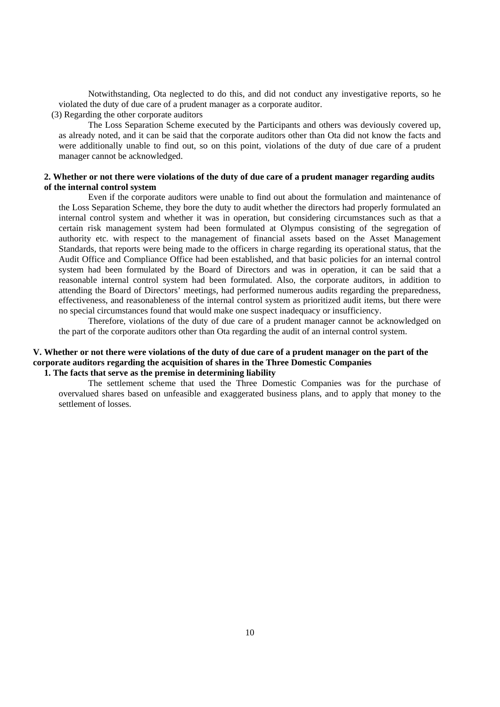Notwithstanding, Ota neglected to do this, and did not conduct any investigative reports, so he violated the duty of due care of a prudent manager as a corporate auditor.

(3) Regarding the other corporate auditors

The Loss Separation Scheme executed by the Participants and others was deviously covered up, as already noted, and it can be said that the corporate auditors other than Ota did not know the facts and were additionally unable to find out, so on this point, violations of the duty of due care of a prudent manager cannot be acknowledged.

## **2. Whether or not there were violations of the duty of due care of a prudent manager regarding audits of the internal control system**

Even if the corporate auditors were unable to find out about the formulation and maintenance of the Loss Separation Scheme, they bore the duty to audit whether the directors had properly formulated an internal control system and whether it was in operation, but considering circumstances such as that a certain risk management system had been formulated at Olympus consisting of the segregation of authority etc. with respect to the management of financial assets based on the Asset Management Standards, that reports were being made to the officers in charge regarding its operational status, that the Audit Office and Compliance Office had been established, and that basic policies for an internal control system had been formulated by the Board of Directors and was in operation, it can be said that a reasonable internal control system had been formulated. Also, the corporate auditors, in addition to attending the Board of Directors' meetings, had performed numerous audits regarding the preparedness, effectiveness, and reasonableness of the internal control system as prioritized audit items, but there were no special circumstances found that would make one suspect inadequacy or insufficiency.

Therefore, violations of the duty of due care of a prudent manager cannot be acknowledged on the part of the corporate auditors other than Ota regarding the audit of an internal control system.

## **V. Whether or not there were violations of the duty of due care of a prudent manager on the part of the corporate auditors regarding the acquisition of shares in the Three Domestic Companies 1. The facts that serve as the premise in determining liability**

The settlement scheme that used the Three Domestic Companies was for the purchase of overvalued shares based on unfeasible and exaggerated business plans, and to apply that money to the settlement of losses.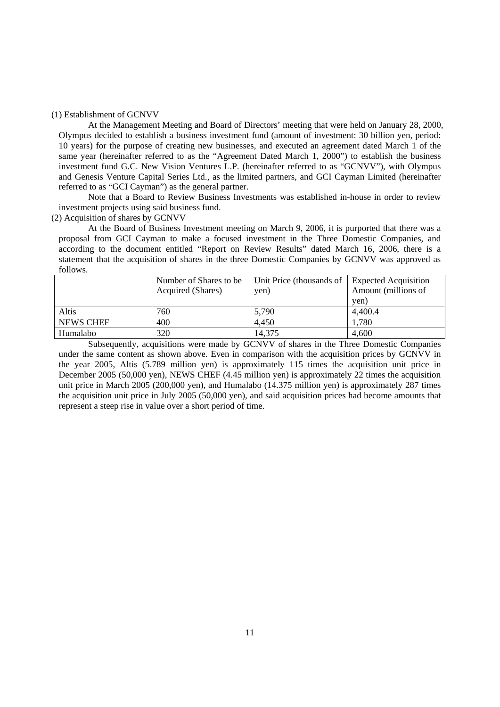#### (1) Establishment of GCNVV

At the Management Meeting and Board of Directors' meeting that were held on January 28, 2000, Olympus decided to establish a business investment fund (amount of investment: 30 billion yen, period: 10 years) for the purpose of creating new businesses, and executed an agreement dated March 1 of the same year (hereinafter referred to as the "Agreement Dated March 1, 2000") to establish the business investment fund G.C. New Vision Ventures L.P. (hereinafter referred to as "GCNVV"), with Olympus and Genesis Venture Capital Series Ltd., as the limited partners, and GCI Cayman Limited (hereinafter referred to as "GCI Cayman") as the general partner.

Note that a Board to Review Business Investments was established in-house in order to review investment projects using said business fund.

(2) Acquisition of shares by GCNVV

At the Board of Business Investment meeting on March 9, 2006, it is purported that there was a proposal from GCI Cayman to make a focused investment in the Three Domestic Companies, and according to the document entitled "Report on Review Results" dated March 16, 2006, there is a statement that the acquisition of shares in the three Domestic Companies by GCNVV was approved as follows.

|                  | Number of Shares to be | Unit Price (thousands of | <b>Expected Acquisition</b> |
|------------------|------------------------|--------------------------|-----------------------------|
|                  | Acquired (Shares)      | yen)                     | Amount (millions of         |
|                  |                        |                          | yen)                        |
| Altis            | 760                    | 5.790                    | 4,400.4                     |
| <b>NEWS CHEF</b> | 400                    | 4.450                    | 1,780                       |
| Humalabo         | 320                    | 14,375                   | 4,600                       |

Subsequently, acquisitions were made by GCNVV of shares in the Three Domestic Companies under the same content as shown above. Even in comparison with the acquisition prices by GCNVV in the year 2005, Altis (5.789 million yen) is approximately 115 times the acquisition unit price in December 2005 (50,000 yen), NEWS CHEF (4.45 million yen) is approximately 22 times the acquisition unit price in March 2005 (200,000 yen), and Humalabo (14.375 million yen) is approximately 287 times the acquisition unit price in July 2005 (50,000 yen), and said acquisition prices had become amounts that represent a steep rise in value over a short period of time.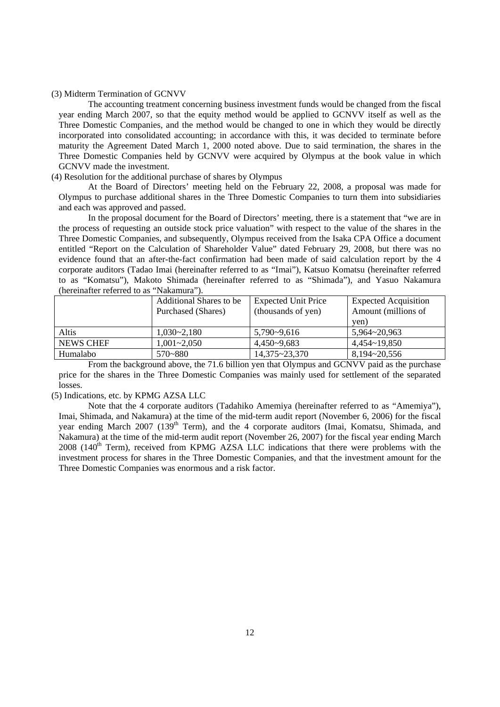#### (3) Midterm Termination of GCNVV

The accounting treatment concerning business investment funds would be changed from the fiscal year ending March 2007, so that the equity method would be applied to GCNVV itself as well as the Three Domestic Companies, and the method would be changed to one in which they would be directly incorporated into consolidated accounting; in accordance with this, it was decided to terminate before maturity the Agreement Dated March 1, 2000 noted above. Due to said termination, the shares in the Three Domestic Companies held by GCNVV were acquired by Olympus at the book value in which GCNVV made the investment.

## (4) Resolution for the additional purchase of shares by Olympus

At the Board of Directors' meeting held on the February 22, 2008, a proposal was made for Olympus to purchase additional shares in the Three Domestic Companies to turn them into subsidiaries and each was approved and passed.

In the proposal document for the Board of Directors' meeting, there is a statement that "we are in the process of requesting an outside stock price valuation" with respect to the value of the shares in the Three Domestic Companies, and subsequently, Olympus received from the Isaka CPA Office a document entitled "Report on the Calculation of Shareholder Value" dated February 29, 2008, but there was no evidence found that an after-the-fact confirmation had been made of said calculation report by the 4 corporate auditors (Tadao Imai (hereinafter referred to as "Imai"), Katsuo Komatsu (hereinafter referred to as "Komatsu"), Makoto Shimada (hereinafter referred to as "Shimada"), and Yasuo Nakamura (hereinafter referred to as "Nakamura").

|                  | <b>Additional Shares to be</b> | <b>Expected Unit Price</b> | <b>Expected Acquisition</b> |
|------------------|--------------------------------|----------------------------|-----------------------------|
|                  | Purchased (Shares)             | (thousands of yen)         | Amount (millions of         |
|                  |                                |                            | yen)                        |
| Altis            | $1.030 - 2.180$                | $5.790 - 9.616$            | 5.964~20.963                |
| <b>NEWS CHEF</b> | $1,001 - 2,050$                | $4.450 - 9.683$            | $4,454$ ~ 19,850            |
| Humalabo         | 570~880                        | 14,375~23,370              | 8,194~20,556                |

From the background above, the 71.6 billion yen that Olympus and GCNVV paid as the purchase price for the shares in the Three Domestic Companies was mainly used for settlement of the separated losses.

## (5) Indications, etc. by KPMG AZSA LLC

Note that the 4 corporate auditors (Tadahiko Amemiya (hereinafter referred to as "Amemiya"), Imai, Shimada, and Nakamura) at the time of the mid-term audit report (November 6, 2006) for the fiscal year ending March 2007 (139<sup>th</sup> Term), and the 4 corporate auditors (Imai, Komatsu, Shimada, and Nakamura) at the time of the mid-term audit report (November 26, 2007) for the fiscal year ending March  $2008$  (140<sup>th</sup> Term), received from KPMG AZSA LLC indications that there were problems with the investment process for shares in the Three Domestic Companies, and that the investment amount for the Three Domestic Companies was enormous and a risk factor.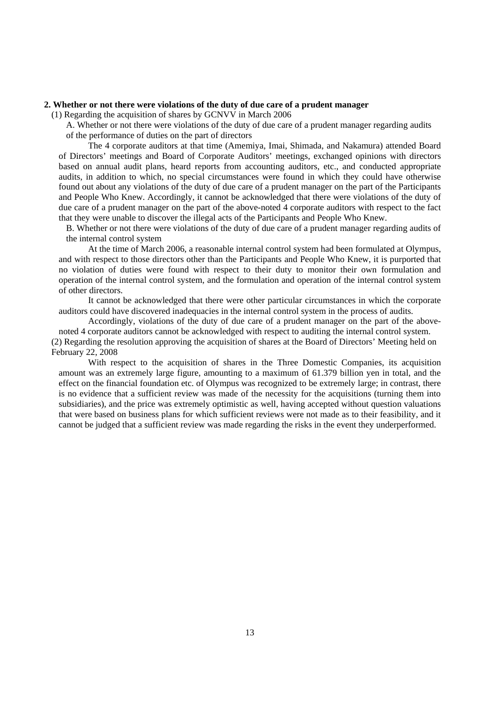#### **2. Whether or not there were violations of the duty of due care of a prudent manager**

(1) Regarding the acquisition of shares by GCNVV in March 2006

A. Whether or not there were violations of the duty of due care of a prudent manager regarding audits of the performance of duties on the part of directors

The 4 corporate auditors at that time (Amemiya, Imai, Shimada, and Nakamura) attended Board of Directors' meetings and Board of Corporate Auditors' meetings, exchanged opinions with directors based on annual audit plans, heard reports from accounting auditors, etc., and conducted appropriate audits, in addition to which, no special circumstances were found in which they could have otherwise found out about any violations of the duty of due care of a prudent manager on the part of the Participants and People Who Knew. Accordingly, it cannot be acknowledged that there were violations of the duty of due care of a prudent manager on the part of the above-noted 4 corporate auditors with respect to the fact that they were unable to discover the illegal acts of the Participants and People Who Knew.

B. Whether or not there were violations of the duty of due care of a prudent manager regarding audits of the internal control system

At the time of March 2006, a reasonable internal control system had been formulated at Olympus, and with respect to those directors other than the Participants and People Who Knew, it is purported that no violation of duties were found with respect to their duty to monitor their own formulation and operation of the internal control system, and the formulation and operation of the internal control system of other directors.

It cannot be acknowledged that there were other particular circumstances in which the corporate auditors could have discovered inadequacies in the internal control system in the process of audits.

Accordingly, violations of the duty of due care of a prudent manager on the part of the abovenoted 4 corporate auditors cannot be acknowledged with respect to auditing the internal control system. (2) Regarding the resolution approving the acquisition of shares at the Board of Directors' Meeting held on

#### February 22, 2008

With respect to the acquisition of shares in the Three Domestic Companies, its acquisition amount was an extremely large figure, amounting to a maximum of 61.379 billion yen in total, and the effect on the financial foundation etc. of Olympus was recognized to be extremely large; in contrast, there is no evidence that a sufficient review was made of the necessity for the acquisitions (turning them into subsidiaries), and the price was extremely optimistic as well, having accepted without question valuations that were based on business plans for which sufficient reviews were not made as to their feasibility, and it cannot be judged that a sufficient review was made regarding the risks in the event they underperformed.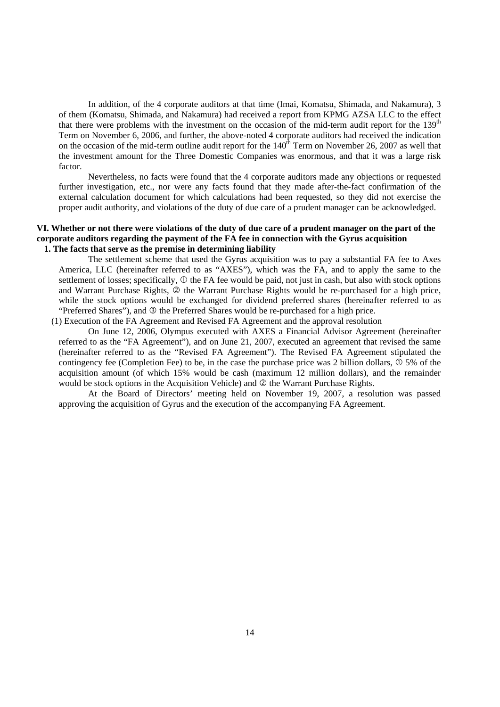In addition, of the 4 corporate auditors at that time (Imai, Komatsu, Shimada, and Nakamura), 3 of them (Komatsu, Shimada, and Nakamura) had received a report from KPMG AZSA LLC to the effect that there were problems with the investment on the occasion of the mid-term audit report for the  $139<sup>th</sup>$ Term on November 6, 2006, and further, the above-noted 4 corporate auditors had received the indication on the occasion of the mid-term outline audit report for the  $140<sup>th</sup>$  Term on November 26, 2007 as well that the investment amount for the Three Domestic Companies was enormous, and that it was a large risk factor.

Nevertheless, no facts were found that the 4 corporate auditors made any objections or requested further investigation, etc., nor were any facts found that they made after-the-fact confirmation of the external calculation document for which calculations had been requested, so they did not exercise the proper audit authority, and violations of the duty of due care of a prudent manager can be acknowledged.

## **VI. Whether or not there were violations of the duty of due care of a prudent manager on the part of the corporate auditors regarding the payment of the FA fee in connection with the Gyrus acquisition 1. The facts that serve as the premise in determining liability**

The settlement scheme that used the Gyrus acquisition was to pay a substantial FA fee to Axes America, LLC (hereinafter referred to as "AXES"), which was the FA, and to apply the same to the settlement of losses; specifically,  $\mathbb D$  the FA fee would be paid, not just in cash, but also with stock options and Warrant Purchase Rights,  $\oslash$  the Warrant Purchase Rights would be re-purchased for a high price, while the stock options would be exchanged for dividend preferred shares (hereinafter referred to as "Preferred Shares"), and  $\circledcirc$  the Preferred Shares would be re-purchased for a high price.

(1) Execution of the FA Agreement and Revised FA Agreement and the approval resolution

On June 12, 2006, Olympus executed with AXES a Financial Advisor Agreement (hereinafter referred to as the "FA Agreement"), and on June 21, 2007, executed an agreement that revised the same (hereinafter referred to as the "Revised FA Agreement"). The Revised FA Agreement stipulated the contingency fee (Completion Fee) to be, in the case the purchase price was 2 billion dollars,  $\overline{0}$  5% of the acquisition amount (of which 15% would be cash (maximum 12 million dollars), and the remainder would be stock options in the Acquisition Vehicle) and  $\oslash$  the Warrant Purchase Rights.

At the Board of Directors' meeting held on November 19, 2007, a resolution was passed approving the acquisition of Gyrus and the execution of the accompanying FA Agreement.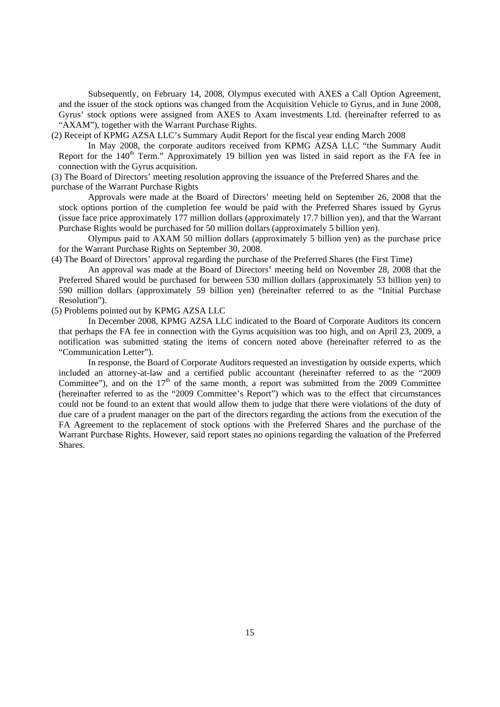Subsequently, on February 14, 2008, Olympus executed with AXES a Call Option Agreement, and the issuer of the stock options was changed from the Acquisition Vehicle to Gyrus, and in June 2008, Gyrus' stock options were assigned from AXES to Axam investments Ltd. (hereinafter referred to as "AXAM"), together with the Warrant Purchase Rights.

(2) Receipt of KPMG AZSA LLC's Summary Audit Report for the fiscal year ending March 2008

In May 2008, the corporate auditors received from KPMG AZSA LLC "the Summary Audit Report for the 140<sup>th</sup> Term." Approximately 19 billion yen was listed in said report as the FA fee in connection with the Gyrus acquisition.

(3) The Board of Directors' meeting resolution approving the issuance of the Preferred Shares and the purchase of the Warrant Purchase Rights

Approvals were made at the Board of Directors' meeting held on September 26, 2008 that the stock options portion of the completion fee would be paid with the Preferred Shares issued by Gyrus (issue face price approximately 177 million dollars (approximately 17.7 billion yen), and that the Warrant Purchase Rights would be purchased for 50 million dollars (approximately 5 billion yen).

Olympus paid to AXAM 50 million dollars (approximately 5 billion yen) as the purchase price for the Warrant Purchase Rights on September 30, 2008.

(4) The Board of Directors' approval regarding the purchase of the Preferred Shares (the First Time)

An approval was made at the Board of Directors' meeting held on November 28, 2008 that the Preferred Shared would be purchased for between 530 million dollars (approximately 53 billion yen) to 590 million dollars (approximately 59 billion yen) (hereinafter referred to as the "Initial Purchase Resolution").

(5) Problems pointed out by KPMG AZSA LLC

In December 2008, KPMG AZSA LLC indicated to the Board of Corporate Auditors its concern that perhaps the FA fee in connection with the Gyrus acquisition was too high, and on April 23, 2009, a notification was submitted stating the items of concern noted above (hereinafter referred to as the "Communication Letter").

In response, the Board of Corporate Auditors requested an investigation by outside experts, which included an attorney-at-law and a certified public accountant (hereinafter referred to as the "2009 Committee"), and on the  $17<sup>th</sup>$  of the same month, a report was submitted from the 2009 Committee (hereinafter referred to as the "2009 Committee's Report") which was to the effect that circumstances could not be found to an extent that would allow them to judge that there were violations of the duty of due care of a prudent manager on the part of the directors regarding the actions from the execution of the FA Agreement to the replacement of stock options with the Preferred Shares and the purchase of the Warrant Purchase Rights. However, said report states no opinions regarding the valuation of the Preferred Shares.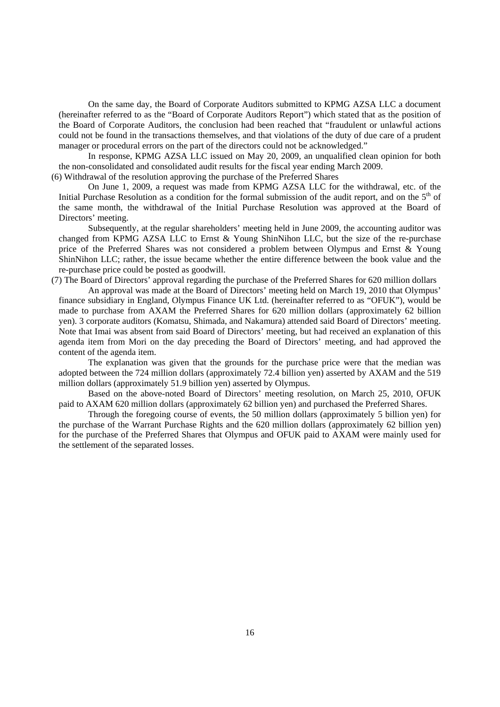On the same day, the Board of Corporate Auditors submitted to KPMG AZSA LLC a document (hereinafter referred to as the "Board of Corporate Auditors Report") which stated that as the position of the Board of Corporate Auditors, the conclusion had been reached that "fraudulent or unlawful actions could not be found in the transactions themselves, and that violations of the duty of due care of a prudent manager or procedural errors on the part of the directors could not be acknowledged."

In response, KPMG AZSA LLC issued on May 20, 2009, an unqualified clean opinion for both the non-consolidated and consolidated audit results for the fiscal year ending March 2009.

(6) Withdrawal of the resolution approving the purchase of the Preferred Shares

On June 1, 2009, a request was made from KPMG AZSA LLC for the withdrawal, etc. of the Initial Purchase Resolution as a condition for the formal submission of the audit report, and on the 5<sup>th</sup> of the same month, the withdrawal of the Initial Purchase Resolution was approved at the Board of Directors' meeting.

Subsequently, at the regular shareholders' meeting held in June 2009, the accounting auditor was changed from KPMG AZSA LLC to Ernst & Young ShinNihon LLC, but the size of the re-purchase price of the Preferred Shares was not considered a problem between Olympus and Ernst & Young ShinNihon LLC; rather, the issue became whether the entire difference between the book value and the re-purchase price could be posted as goodwill.

(7) The Board of Directors' approval regarding the purchase of the Preferred Shares for 620 million dollars

An approval was made at the Board of Directors' meeting held on March 19, 2010 that Olympus' finance subsidiary in England, Olympus Finance UK Ltd. (hereinafter referred to as "OFUK"), would be made to purchase from AXAM the Preferred Shares for 620 million dollars (approximately 62 billion yen). 3 corporate auditors (Komatsu, Shimada, and Nakamura) attended said Board of Directors' meeting. Note that Imai was absent from said Board of Directors' meeting, but had received an explanation of this agenda item from Mori on the day preceding the Board of Directors' meeting, and had approved the content of the agenda item.

The explanation was given that the grounds for the purchase price were that the median was adopted between the 724 million dollars (approximately 72.4 billion yen) asserted by AXAM and the 519 million dollars (approximately 51.9 billion yen) asserted by Olympus.

Based on the above-noted Board of Directors' meeting resolution, on March 25, 2010, OFUK paid to AXAM 620 million dollars (approximately 62 billion yen) and purchased the Preferred Shares.

Through the foregoing course of events, the 50 million dollars (approximately 5 billion yen) for the purchase of the Warrant Purchase Rights and the 620 million dollars (approximately 62 billion yen) for the purchase of the Preferred Shares that Olympus and OFUK paid to AXAM were mainly used for the settlement of the separated losses.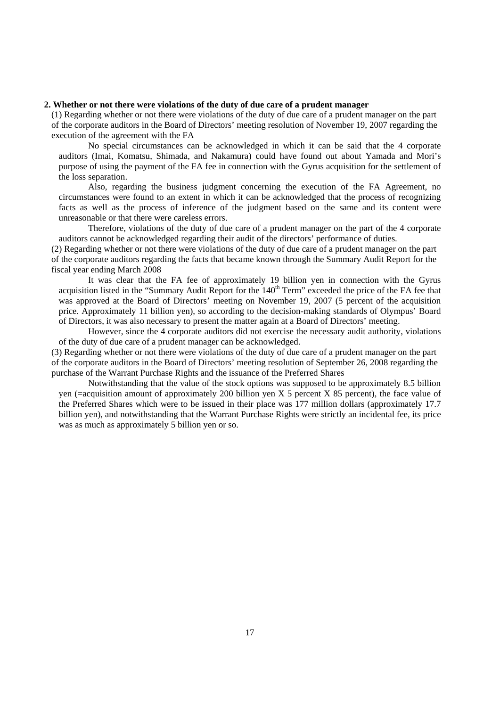# **2. Whether or not there were violations of the duty of due care of a prudent manager**

(1) Regarding whether or not there were violations of the duty of due care of a prudent manager on the part of the corporate auditors in the Board of Directors' meeting resolution of November 19, 2007 regarding the execution of the agreement with the FA

No special circumstances can be acknowledged in which it can be said that the 4 corporate auditors (Imai, Komatsu, Shimada, and Nakamura) could have found out about Yamada and Mori's purpose of using the payment of the FA fee in connection with the Gyrus acquisition for the settlement of the loss separation.

Also, regarding the business judgment concerning the execution of the FA Agreement, no circumstances were found to an extent in which it can be acknowledged that the process of recognizing facts as well as the process of inference of the judgment based on the same and its content were unreasonable or that there were careless errors.

Therefore, violations of the duty of due care of a prudent manager on the part of the 4 corporate auditors cannot be acknowledged regarding their audit of the directors' performance of duties.

(2) Regarding whether or not there were violations of the duty of due care of a prudent manager on the part of the corporate auditors regarding the facts that became known through the Summary Audit Report for the fiscal year ending March 2008

It was clear that the FA fee of approximately 19 billion yen in connection with the Gyrus acquisition listed in the "Summary Audit Report for the 140<sup>th</sup> Term" exceeded the price of the FA fee that was approved at the Board of Directors' meeting on November 19, 2007 (5 percent of the acquisition price. Approximately 11 billion yen), so according to the decision-making standards of Olympus' Board of Directors, it was also necessary to present the matter again at a Board of Directors' meeting.

However, since the 4 corporate auditors did not exercise the necessary audit authority, violations of the duty of due care of a prudent manager can be acknowledged.

(3) Regarding whether or not there were violations of the duty of due care of a prudent manager on the part of the corporate auditors in the Board of Directors' meeting resolution of September 26, 2008 regarding the purchase of the Warrant Purchase Rights and the issuance of the Preferred Shares

Notwithstanding that the value of the stock options was supposed to be approximately 8.5 billion yen (=acquisition amount of approximately 200 billion yen  $X$  5 percent  $X$  85 percent), the face value of the Preferred Shares which were to be issued in their place was 177 million dollars (approximately 17.7 billion yen), and notwithstanding that the Warrant Purchase Rights were strictly an incidental fee, its price was as much as approximately 5 billion yen or so.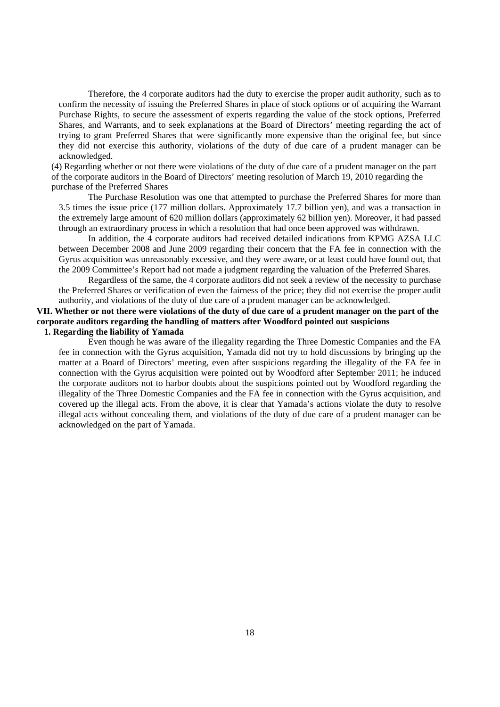Therefore, the 4 corporate auditors had the duty to exercise the proper audit authority, such as to confirm the necessity of issuing the Preferred Shares in place of stock options or of acquiring the Warrant Purchase Rights, to secure the assessment of experts regarding the value of the stock options, Preferred Shares, and Warrants, and to seek explanations at the Board of Directors' meeting regarding the act of trying to grant Preferred Shares that were significantly more expensive than the original fee, but since they did not exercise this authority, violations of the duty of due care of a prudent manager can be acknowledged.

(4) Regarding whether or not there were violations of the duty of due care of a prudent manager on the part of the corporate auditors in the Board of Directors' meeting resolution of March 19, 2010 regarding the purchase of the Preferred Shares

The Purchase Resolution was one that attempted to purchase the Preferred Shares for more than 3.5 times the issue price (177 million dollars. Approximately 17.7 billion yen), and was a transaction in the extremely large amount of 620 million dollars (approximately 62 billion yen). Moreover, it had passed through an extraordinary process in which a resolution that had once been approved was withdrawn.

In addition, the 4 corporate auditors had received detailed indications from KPMG AZSA LLC between December 2008 and June 2009 regarding their concern that the FA fee in connection with the Gyrus acquisition was unreasonably excessive, and they were aware, or at least could have found out, that the 2009 Committee's Report had not made a judgment regarding the valuation of the Preferred Shares.

Regardless of the same, the 4 corporate auditors did not seek a review of the necessity to purchase the Preferred Shares or verification of even the fairness of the price; they did not exercise the proper audit authority, and violations of the duty of due care of a prudent manager can be acknowledged.

# **VII. Whether or not there were violations of the duty of due care of a prudent manager on the part of the corporate auditors regarding the handling of matters after Woodford pointed out suspicions 1. Regarding the liability of Yamada**

Even though he was aware of the illegality regarding the Three Domestic Companies and the FA fee in connection with the Gyrus acquisition, Yamada did not try to hold discussions by bringing up the matter at a Board of Directors' meeting, even after suspicions regarding the illegality of the FA fee in connection with the Gyrus acquisition were pointed out by Woodford after September 2011; he induced the corporate auditors not to harbor doubts about the suspicions pointed out by Woodford regarding the illegality of the Three Domestic Companies and the FA fee in connection with the Gyrus acquisition, and covered up the illegal acts. From the above, it is clear that Yamada's actions violate the duty to resolve illegal acts without concealing them, and violations of the duty of due care of a prudent manager can be acknowledged on the part of Yamada.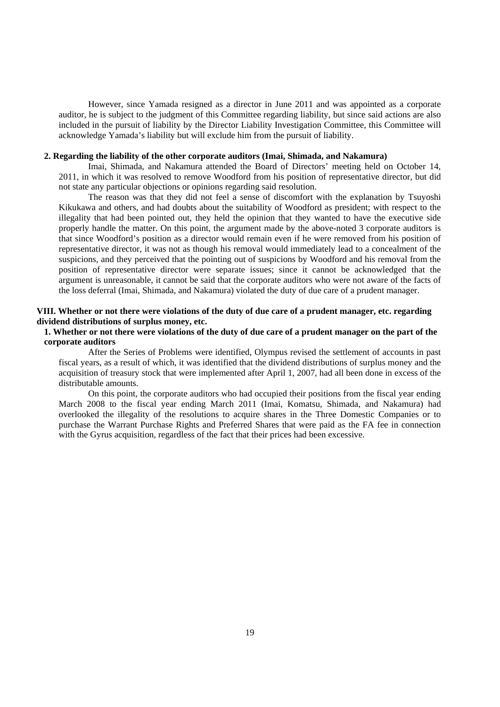However, since Yamada resigned as a director in June 2011 and was appointed as a corporate auditor, he is subject to the judgment of this Committee regarding liability, but since said actions are also included in the pursuit of liability by the Director Liability Investigation Committee, this Committee will acknowledge Yamada's liability but will exclude him from the pursuit of liability.

## **2. Regarding the liability of the other corporate auditors (Imai, Shimada, and Nakamura)**

Imai, Shimada, and Nakamura attended the Board of Directors' meeting held on October 14, 2011, in which it was resolved to remove Woodford from his position of representative director, but did not state any particular objections or opinions regarding said resolution.

The reason was that they did not feel a sense of discomfort with the explanation by Tsuyoshi Kikukawa and others, and had doubts about the suitability of Woodford as president; with respect to the illegality that had been pointed out, they held the opinion that they wanted to have the executive side properly handle the matter. On this point, the argument made by the above-noted 3 corporate auditors is that since Woodford's position as a director would remain even if he were removed from his position of representative director, it was not as though his removal would immediately lead to a concealment of the suspicions, and they perceived that the pointing out of suspicions by Woodford and his removal from the position of representative director were separate issues; since it cannot be acknowledged that the argument is unreasonable, it cannot be said that the corporate auditors who were not aware of the facts of the loss deferral (Imai, Shimada, and Nakamura) violated the duty of due care of a prudent manager.

## **VIII. Whether or not there were violations of the duty of due care of a prudent manager, etc. regarding dividend distributions of surplus money, etc.**

# **1. Whether or not there were violations of the duty of due care of a prudent manager on the part of the corporate auditors**

After the Series of Problems were identified, Olympus revised the settlement of accounts in past fiscal years, as a result of which, it was identified that the dividend distributions of surplus money and the acquisition of treasury stock that were implemented after April 1, 2007, had all been done in excess of the distributable amounts.

On this point, the corporate auditors who had occupied their positions from the fiscal year ending March 2008 to the fiscal year ending March 2011 (Imai, Komatsu, Shimada, and Nakamura) had overlooked the illegality of the resolutions to acquire shares in the Three Domestic Companies or to purchase the Warrant Purchase Rights and Preferred Shares that were paid as the FA fee in connection with the Gyrus acquisition, regardless of the fact that their prices had been excessive.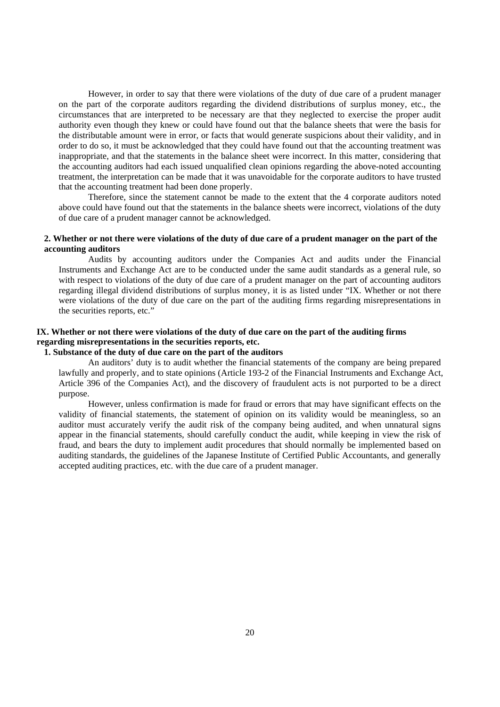However, in order to say that there were violations of the duty of due care of a prudent manager on the part of the corporate auditors regarding the dividend distributions of surplus money, etc., the circumstances that are interpreted to be necessary are that they neglected to exercise the proper audit authority even though they knew or could have found out that the balance sheets that were the basis for the distributable amount were in error, or facts that would generate suspicions about their validity, and in order to do so, it must be acknowledged that they could have found out that the accounting treatment was inappropriate, and that the statements in the balance sheet were incorrect. In this matter, considering that the accounting auditors had each issued unqualified clean opinions regarding the above-noted accounting treatment, the interpretation can be made that it was unavoidable for the corporate auditors to have trusted that the accounting treatment had been done properly.

Therefore, since the statement cannot be made to the extent that the 4 corporate auditors noted above could have found out that the statements in the balance sheets were incorrect, violations of the duty of due care of a prudent manager cannot be acknowledged.

# **2. Whether or not there were violations of the duty of due care of a prudent manager on the part of the accounting auditors**

Audits by accounting auditors under the Companies Act and audits under the Financial Instruments and Exchange Act are to be conducted under the same audit standards as a general rule, so with respect to violations of the duty of due care of a prudent manager on the part of accounting auditors regarding illegal dividend distributions of surplus money, it is as listed under "IX. Whether or not there were violations of the duty of due care on the part of the auditing firms regarding misrepresentations in the securities reports, etc."

# **IX. Whether or not there were violations of the duty of due care on the part of the auditing firms regarding misrepresentations in the securities reports, etc.**

# **1. Substance of the duty of due care on the part of the auditors**

An auditors' duty is to audit whether the financial statements of the company are being prepared lawfully and properly, and to state opinions (Article 193-2 of the Financial Instruments and Exchange Act, Article 396 of the Companies Act), and the discovery of fraudulent acts is not purported to be a direct purpose.

However, unless confirmation is made for fraud or errors that may have significant effects on the validity of financial statements, the statement of opinion on its validity would be meaningless, so an auditor must accurately verify the audit risk of the company being audited, and when unnatural signs appear in the financial statements, should carefully conduct the audit, while keeping in view the risk of fraud, and bears the duty to implement audit procedures that should normally be implemented based on auditing standards, the guidelines of the Japanese Institute of Certified Public Accountants, and generally accepted auditing practices, etc. with the due care of a prudent manager.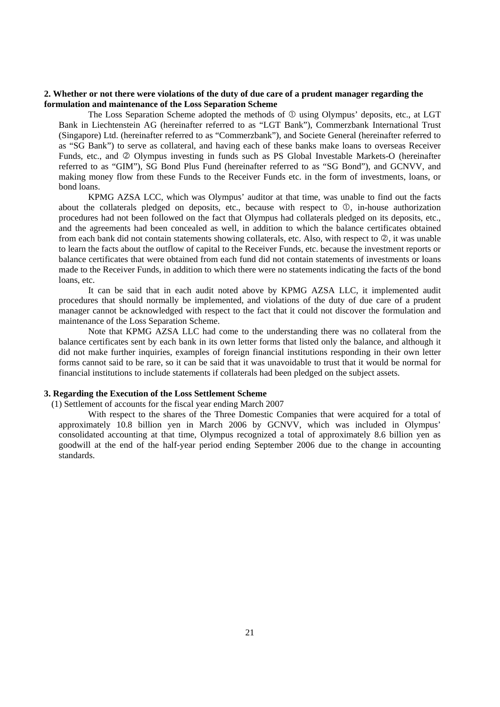## **2. Whether or not there were violations of the duty of due care of a prudent manager regarding the formulation and maintenance of the Loss Separation Scheme**

The Loss Separation Scheme adopted the methods of  $\mathbb O$  using Olympus' deposits, etc., at LGT Bank in Liechtenstein AG (hereinafter referred to as "LGT Bank"), Commerzbank International Trust (Singapore) Ltd. (hereinafter referred to as "Commerzbank"), and Societe General (hereinafter referred to as "SG Bank") to serve as collateral, and having each of these banks make loans to overseas Receiver Funds, etc., and  $\oslash$  Olympus investing in funds such as PS Global Investable Markets-O (hereinafter referred to as "GIM"), SG Bond Plus Fund (hereinafter referred to as "SG Bond"), and GCNVV, and making money flow from these Funds to the Receiver Funds etc. in the form of investments, loans, or bond loans.

KPMG AZSA LCC, which was Olympus' auditor at that time, was unable to find out the facts about the collaterals pledged on deposits, etc., because with respect to  $\mathbb{O}$ , in-house authorization procedures had not been followed on the fact that Olympus had collaterals pledged on its deposits, etc., and the agreements had been concealed as well, in addition to which the balance certificates obtained from each bank did not contain statements showing collaterals, etc. Also, with respect to  $\mathcal{Q}$ , it was unable to learn the facts about the outflow of capital to the Receiver Funds, etc. because the investment reports or balance certificates that were obtained from each fund did not contain statements of investments or loans made to the Receiver Funds, in addition to which there were no statements indicating the facts of the bond loans, etc.

It can be said that in each audit noted above by KPMG AZSA LLC, it implemented audit procedures that should normally be implemented, and violations of the duty of due care of a prudent manager cannot be acknowledged with respect to the fact that it could not discover the formulation and maintenance of the Loss Separation Scheme.

Note that KPMG AZSA LLC had come to the understanding there was no collateral from the balance certificates sent by each bank in its own letter forms that listed only the balance, and although it did not make further inquiries, examples of foreign financial institutions responding in their own letter forms cannot said to be rare, so it can be said that it was unavoidable to trust that it would be normal for financial institutions to include statements if collaterals had been pledged on the subject assets.

#### **3. Regarding the Execution of the Loss Settlement Scheme**

(1) Settlement of accounts for the fiscal year ending March 2007

With respect to the shares of the Three Domestic Companies that were acquired for a total of approximately 10.8 billion yen in March 2006 by GCNVV, which was included in Olympus' consolidated accounting at that time, Olympus recognized a total of approximately 8.6 billion yen as goodwill at the end of the half-year period ending September 2006 due to the change in accounting standards.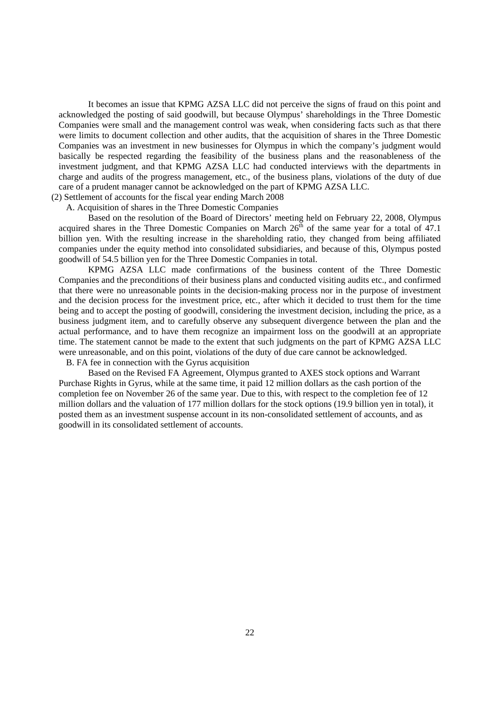It becomes an issue that KPMG AZSA LLC did not perceive the signs of fraud on this point and acknowledged the posting of said goodwill, but because Olympus' shareholdings in the Three Domestic Companies were small and the management control was weak, when considering facts such as that there were limits to document collection and other audits, that the acquisition of shares in the Three Domestic Companies was an investment in new businesses for Olympus in which the company's judgment would basically be respected regarding the feasibility of the business plans and the reasonableness of the investment judgment, and that KPMG AZSA LLC had conducted interviews with the departments in charge and audits of the progress management, etc., of the business plans, violations of the duty of due care of a prudent manager cannot be acknowledged on the part of KPMG AZSA LLC.

(2) Settlement of accounts for the fiscal year ending March 2008

A. Acquisition of shares in the Three Domestic Companies

Based on the resolution of the Board of Directors' meeting held on February 22, 2008, Olympus acquired shares in the Three Domestic Companies on March  $26<sup>th</sup>$  of the same year for a total of 47.1 billion yen. With the resulting increase in the shareholding ratio, they changed from being affiliated companies under the equity method into consolidated subsidiaries, and because of this, Olympus posted goodwill of 54.5 billion yen for the Three Domestic Companies in total.

KPMG AZSA LLC made confirmations of the business content of the Three Domestic Companies and the preconditions of their business plans and conducted visiting audits etc., and confirmed that there were no unreasonable points in the decision-making process nor in the purpose of investment and the decision process for the investment price, etc., after which it decided to trust them for the time being and to accept the posting of goodwill, considering the investment decision, including the price, as a business judgment item, and to carefully observe any subsequent divergence between the plan and the actual performance, and to have them recognize an impairment loss on the goodwill at an appropriate time. The statement cannot be made to the extent that such judgments on the part of KPMG AZSA LLC were unreasonable, and on this point, violations of the duty of due care cannot be acknowledged.

B. FA fee in connection with the Gyrus acquisition

Based on the Revised FA Agreement, Olympus granted to AXES stock options and Warrant Purchase Rights in Gyrus, while at the same time, it paid 12 million dollars as the cash portion of the completion fee on November 26 of the same year. Due to this, with respect to the completion fee of 12 million dollars and the valuation of 177 million dollars for the stock options (19.9 billion yen in total), it posted them as an investment suspense account in its non-consolidated settlement of accounts, and as goodwill in its consolidated settlement of accounts.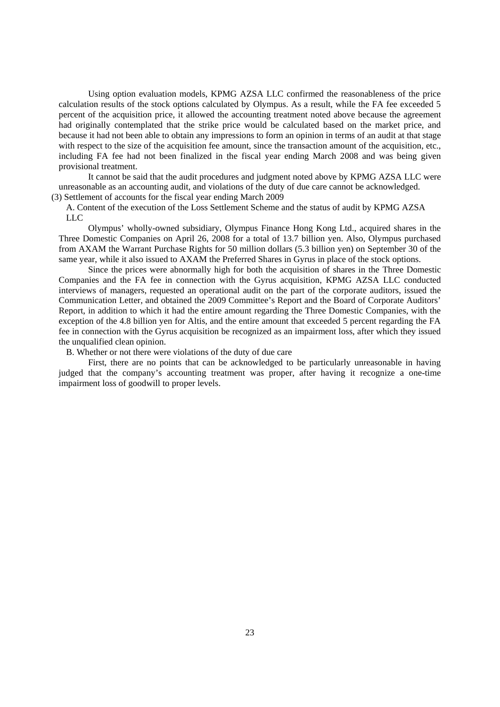Using option evaluation models, KPMG AZSA LLC confirmed the reasonableness of the price calculation results of the stock options calculated by Olympus. As a result, while the FA fee exceeded 5 percent of the acquisition price, it allowed the accounting treatment noted above because the agreement had originally contemplated that the strike price would be calculated based on the market price, and because it had not been able to obtain any impressions to form an opinion in terms of an audit at that stage with respect to the size of the acquisition fee amount, since the transaction amount of the acquisition, etc., including FA fee had not been finalized in the fiscal year ending March 2008 and was being given provisional treatment.

It cannot be said that the audit procedures and judgment noted above by KPMG AZSA LLC were unreasonable as an accounting audit, and violations of the duty of due care cannot be acknowledged. (3) Settlement of accounts for the fiscal year ending March 2009

A. Content of the execution of the Loss Settlement Scheme and the status of audit by KPMG AZSA LLC

Olympus' wholly-owned subsidiary, Olympus Finance Hong Kong Ltd., acquired shares in the Three Domestic Companies on April 26, 2008 for a total of 13.7 billion yen. Also, Olympus purchased from AXAM the Warrant Purchase Rights for 50 million dollars (5.3 billion yen) on September 30 of the same year, while it also issued to AXAM the Preferred Shares in Gyrus in place of the stock options.

Since the prices were abnormally high for both the acquisition of shares in the Three Domestic Companies and the FA fee in connection with the Gyrus acquisition, KPMG AZSA LLC conducted interviews of managers, requested an operational audit on the part of the corporate auditors, issued the Communication Letter, and obtained the 2009 Committee's Report and the Board of Corporate Auditors' Report, in addition to which it had the entire amount regarding the Three Domestic Companies, with the exception of the 4.8 billion yen for Altis, and the entire amount that exceeded 5 percent regarding the FA fee in connection with the Gyrus acquisition be recognized as an impairment loss, after which they issued the unqualified clean opinion.

B. Whether or not there were violations of the duty of due care

First, there are no points that can be acknowledged to be particularly unreasonable in having judged that the company's accounting treatment was proper, after having it recognize a one-time impairment loss of goodwill to proper levels.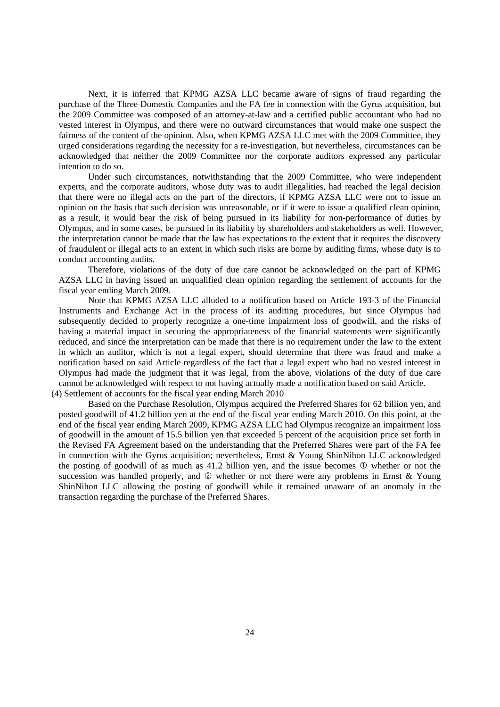Next, it is inferred that KPMG AZSA LLC became aware of signs of fraud regarding the purchase of the Three Domestic Companies and the FA fee in connection with the Gyrus acquisition, but the 2009 Committee was composed of an attorney-at-law and a certified public accountant who had no vested interest in Olympus, and there were no outward circumstances that would make one suspect the fairness of the content of the opinion. Also, when KPMG AZSA LLC met with the 2009 Committee, they urged considerations regarding the necessity for a re-investigation, but nevertheless, circumstances can be acknowledged that neither the 2009 Committee nor the corporate auditors expressed any particular intention to do so.

Under such circumstances, notwithstanding that the 2009 Committee, who were independent experts, and the corporate auditors, whose duty was to audit illegalities, had reached the legal decision that there were no illegal acts on the part of the directors, if KPMG AZSA LLC were not to issue an opinion on the basis that such decision was unreasonable, or if it were to issue a qualified clean opinion, as a result, it would bear the risk of being pursued in its liability for non-performance of duties by Olympus, and in some cases, be pursued in its liability by shareholders and stakeholders as well. However, the interpretation cannot be made that the law has expectations to the extent that it requires the discovery of fraudulent or illegal acts to an extent in which such risks are borne by auditing firms, whose duty is to conduct accounting audits.

Therefore, violations of the duty of due care cannot be acknowledged on the part of KPMG AZSA LLC in having issued an unqualified clean opinion regarding the settlement of accounts for the fiscal year ending March 2009.

Note that KPMG AZSA LLC alluded to a notification based on Article 193-3 of the Financial Instruments and Exchange Act in the process of its auditing procedures, but since Olympus had subsequently decided to properly recognize a one-time impairment loss of goodwill, and the risks of having a material impact in securing the appropriateness of the financial statements were significantly reduced, and since the interpretation can be made that there is no requirement under the law to the extent in which an auditor, which is not a legal expert, should determine that there was fraud and make a notification based on said Article regardless of the fact that a legal expert who had no vested interest in Olympus had made the judgment that it was legal, from the above, violations of the duty of due care cannot be acknowledged with respect to not having actually made a notification based on said Article. (4) Settlement of accounts for the fiscal year ending March 2010

Based on the Purchase Resolution, Olympus acquired the Preferred Shares for 62 billion yen, and posted goodwill of 41.2 billion yen at the end of the fiscal year ending March 2010. On this point, at the end of the fiscal year ending March 2009, KPMG AZSA LLC had Olympus recognize an impairment loss of goodwill in the amount of 15.5 billion yen that exceeded 5 percent of the acquisition price set forth in the Revised FA Agreement based on the understanding that the Preferred Shares were part of the FA fee in connection with the Gyrus acquisition; nevertheless, Ernst & Young ShinNihon LLC acknowledged the posting of goodwill of as much as 41.2 billion yen, and the issue becomes  $\mathbb O$  whether or not the succession was handled properly, and  $\oslash$  whether or not there were any problems in Ernst & Young ShinNihon LLC allowing the posting of goodwill while it remained unaware of an anomaly in the transaction regarding the purchase of the Preferred Shares.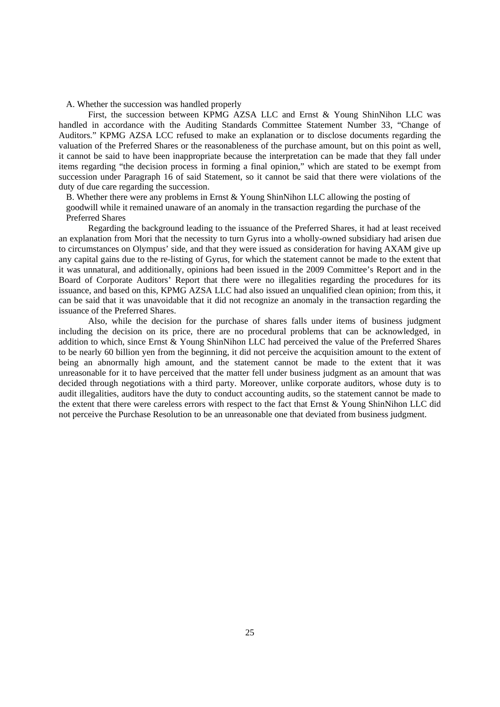A. Whether the succession was handled properly

First, the succession between KPMG AZSA LLC and Ernst & Young ShinNihon LLC was handled in accordance with the Auditing Standards Committee Statement Number 33, "Change of Auditors." KPMG AZSA LCC refused to make an explanation or to disclose documents regarding the valuation of the Preferred Shares or the reasonableness of the purchase amount, but on this point as well, it cannot be said to have been inappropriate because the interpretation can be made that they fall under items regarding "the decision process in forming a final opinion," which are stated to be exempt from succession under Paragraph 16 of said Statement, so it cannot be said that there were violations of the duty of due care regarding the succession.

B. Whether there were any problems in Ernst & Young ShinNihon LLC allowing the posting of goodwill while it remained unaware of an anomaly in the transaction regarding the purchase of the Preferred Shares

Regarding the background leading to the issuance of the Preferred Shares, it had at least received an explanation from Mori that the necessity to turn Gyrus into a wholly-owned subsidiary had arisen due to circumstances on Olympus' side, and that they were issued as consideration for having AXAM give up any capital gains due to the re-listing of Gyrus, for which the statement cannot be made to the extent that it was unnatural, and additionally, opinions had been issued in the 2009 Committee's Report and in the Board of Corporate Auditors' Report that there were no illegalities regarding the procedures for its issuance, and based on this, KPMG AZSA LLC had also issued an unqualified clean opinion; from this, it can be said that it was unavoidable that it did not recognize an anomaly in the transaction regarding the issuance of the Preferred Shares.

Also, while the decision for the purchase of shares falls under items of business judgment including the decision on its price, there are no procedural problems that can be acknowledged, in addition to which, since Ernst & Young ShinNihon LLC had perceived the value of the Preferred Shares to be nearly 60 billion yen from the beginning, it did not perceive the acquisition amount to the extent of being an abnormally high amount, and the statement cannot be made to the extent that it was unreasonable for it to have perceived that the matter fell under business judgment as an amount that was decided through negotiations with a third party. Moreover, unlike corporate auditors, whose duty is to audit illegalities, auditors have the duty to conduct accounting audits, so the statement cannot be made to the extent that there were careless errors with respect to the fact that Ernst & Young ShinNihon LLC did not perceive the Purchase Resolution to be an unreasonable one that deviated from business judgment.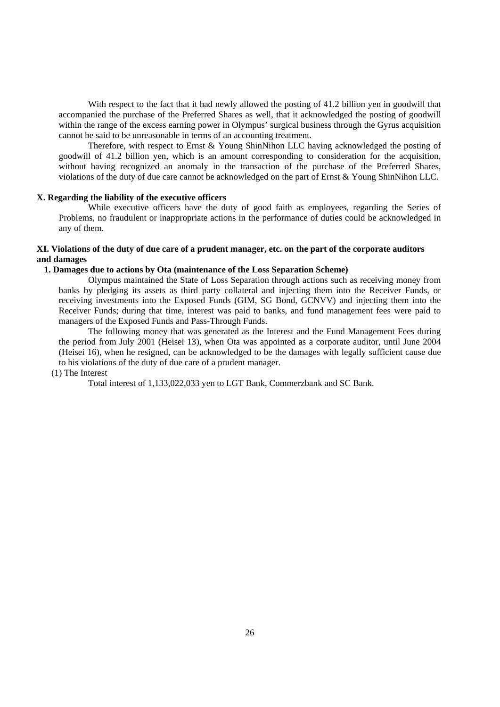With respect to the fact that it had newly allowed the posting of 41.2 billion yen in goodwill that accompanied the purchase of the Preferred Shares as well, that it acknowledged the posting of goodwill within the range of the excess earning power in Olympus' surgical business through the Gyrus acquisition cannot be said to be unreasonable in terms of an accounting treatment.

Therefore, with respect to Ernst & Young ShinNihon LLC having acknowledged the posting of goodwill of 41.2 billion yen, which is an amount corresponding to consideration for the acquisition, without having recognized an anomaly in the transaction of the purchase of the Preferred Shares, violations of the duty of due care cannot be acknowledged on the part of Ernst & Young ShinNihon LLC.

## **X. Regarding the liability of the executive officers**

While executive officers have the duty of good faith as employees, regarding the Series of Problems, no fraudulent or inappropriate actions in the performance of duties could be acknowledged in any of them.

## **XI. Violations of the duty of due care of a prudent manager, etc. on the part of the corporate auditors and damages**

#### **1. Damages due to actions by Ota (maintenance of the Loss Separation Scheme)**

Olympus maintained the State of Loss Separation through actions such as receiving money from banks by pledging its assets as third party collateral and injecting them into the Receiver Funds, or receiving investments into the Exposed Funds (GIM, SG Bond, GCNVV) and injecting them into the Receiver Funds; during that time, interest was paid to banks, and fund management fees were paid to managers of the Exposed Funds and Pass-Through Funds.

The following money that was generated as the Interest and the Fund Management Fees during the period from July 2001 (Heisei 13), when Ota was appointed as a corporate auditor, until June 2004 (Heisei 16), when he resigned, can be acknowledged to be the damages with legally sufficient cause due to his violations of the duty of due care of a prudent manager.

# (1) The Interest

Total interest of 1,133,022,033 yen to LGT Bank, Commerzbank and SC Bank.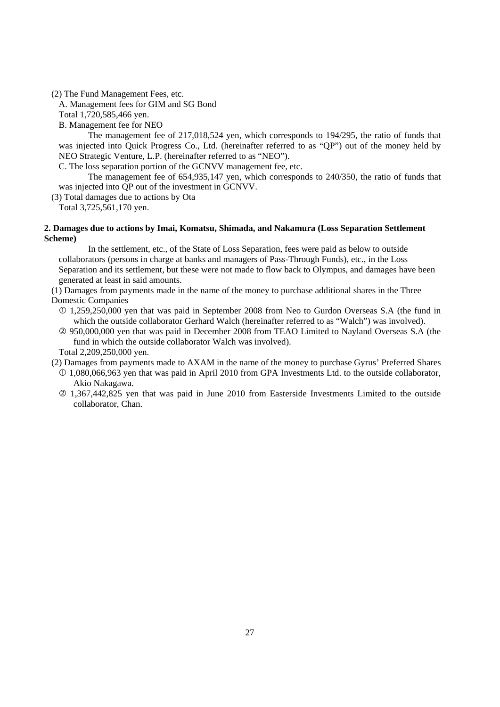(2) The Fund Management Fees, etc.

A. Management fees for GIM and SG Bond

Total 1,720,585,466 yen.

B. Management fee for NEO

The management fee of 217,018,524 yen, which corresponds to 194/295, the ratio of funds that was injected into Quick Progress Co., Ltd. (hereinafter referred to as "QP") out of the money held by NEO Strategic Venture, L.P. (hereinafter referred to as "NEO").

C. The loss separation portion of the GCNVV management fee, etc.

The management fee of 654,935,147 yen, which corresponds to 240/350, the ratio of funds that was injected into QP out of the investment in GCNVV.

(3) Total damages due to actions by Ota

Total 3,725,561,170 yen.

## **2. Damages due to actions by Imai, Komatsu, Shimada, and Nakamura (Loss Separation Settlement Scheme)**

In the settlement, etc., of the State of Loss Separation, fees were paid as below to outside collaborators (persons in charge at banks and managers of Pass-Through Funds), etc., in the Loss Separation and its settlement, but these were not made to flow back to Olympus, and damages have been generated at least in said amounts.

(1) Damages from payments made in the name of the money to purchase additional shares in the Three Domestic Companies

- 1,259,250,000 yen that was paid in September 2008 from Neo to Gurdon Overseas S.A (the fund in which the outside collaborator Gerhard Walch (hereinafter referred to as "Walch") was involved).
- 950,000,000 yen that was paid in December 2008 from TEAO Limited to Nayland Overseas S.A (the fund in which the outside collaborator Walch was involved).

Total 2,209,250,000 yen.

(2) Damages from payments made to AXAM in the name of the money to purchase Gyrus' Preferred Shares

- 1,080,066,963 yen that was paid in April 2010 from GPA Investments Ltd. to the outside collaborator, Akio Nakagawa.
- 1,367,442,825 yen that was paid in June 2010 from Easterside Investments Limited to the outside collaborator, Chan.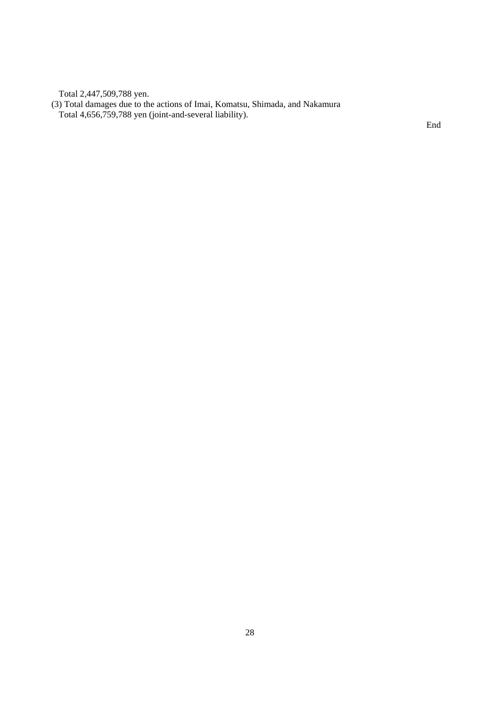Total 2,447,509,788 yen.

(3) Total damages due to the actions of Imai, Komatsu, Shimada, and Nakamura Total 4,656,759,788 yen (joint-and-several liability).

End